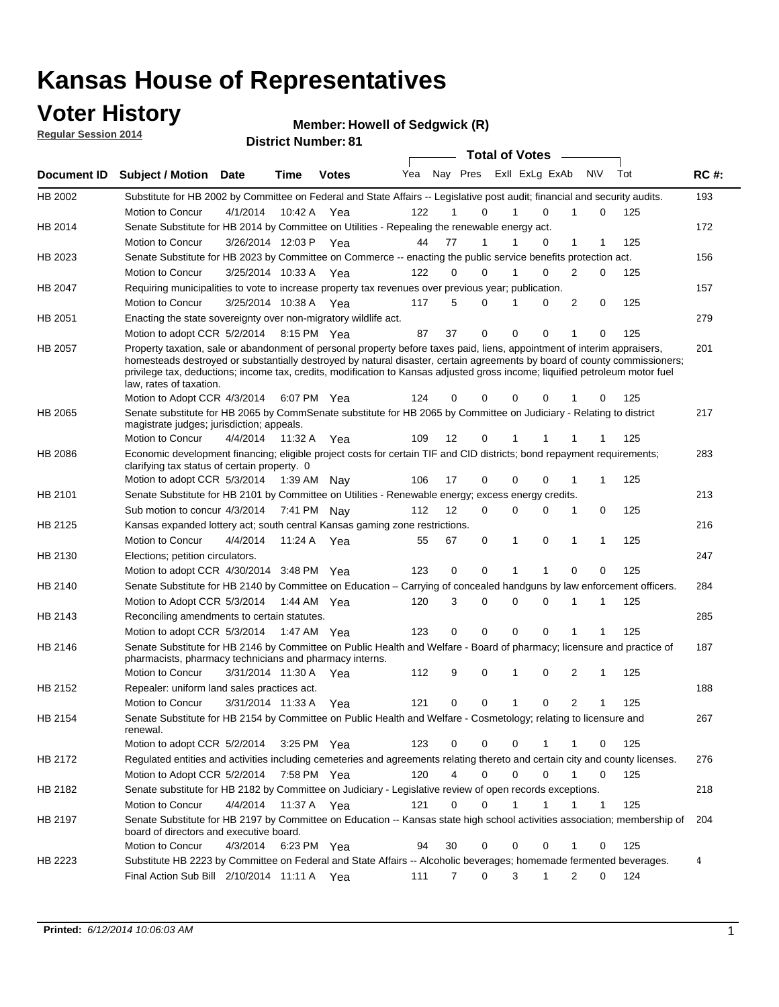### **Voter History**

**Regular Session 2014**

#### **Member: Howell of Sedgwick (R)**

|                |                                                                                                                                                                                                                                                                                                                                                                                                                                                  |                       |             | <b>DISTING MAILINGLOT</b> |     |             |                               | <b>Total of Votes</b> |              |                |             |     |             |
|----------------|--------------------------------------------------------------------------------------------------------------------------------------------------------------------------------------------------------------------------------------------------------------------------------------------------------------------------------------------------------------------------------------------------------------------------------------------------|-----------------------|-------------|---------------------------|-----|-------------|-------------------------------|-----------------------|--------------|----------------|-------------|-----|-------------|
| Document ID    | <b>Subject / Motion Date</b>                                                                                                                                                                                                                                                                                                                                                                                                                     |                       | Time        | <b>Votes</b>              | Yea |             | Nay Pres Exll ExLg ExAb       |                       |              | <b>NV</b>      |             | Tot | <b>RC#:</b> |
| HB 2002        | Substitute for HB 2002 by Committee on Federal and State Affairs -- Legislative post audit; financial and security audits.                                                                                                                                                                                                                                                                                                                       |                       |             |                           |     |             |                               |                       |              |                |             |     | 193         |
|                | <b>Motion to Concur</b>                                                                                                                                                                                                                                                                                                                                                                                                                          | 4/1/2014              | 10:42 A     | Yea                       | 122 |             | 0                             |                       | $\Omega$     | 1              | 0           | 125 |             |
| HB 2014        | Senate Substitute for HB 2014 by Committee on Utilities - Repealing the renewable energy act.                                                                                                                                                                                                                                                                                                                                                    |                       |             |                           |     |             |                               |                       |              |                |             |     | 172         |
|                | Motion to Concur                                                                                                                                                                                                                                                                                                                                                                                                                                 | 3/26/2014 12:03 P Yea |             |                           | 44  | 77          | 1                             |                       | $\Omega$     | 1              | 1           | 125 |             |
| HB 2023        | Senate Substitute for HB 2023 by Committee on Commerce -- enacting the public service benefits protection act.                                                                                                                                                                                                                                                                                                                                   |                       |             |                           |     |             |                               |                       |              |                |             |     | 156         |
|                | Motion to Concur                                                                                                                                                                                                                                                                                                                                                                                                                                 | 3/25/2014 10:33 A Yea |             |                           | 122 | 0           | 0                             |                       | 0            | 2              | 0           | 125 |             |
| HB 2047        | Requiring municipalities to vote to increase property tax revenues over previous year; publication.                                                                                                                                                                                                                                                                                                                                              |                       |             |                           |     |             |                               |                       |              |                |             |     | 157         |
|                | Motion to Concur                                                                                                                                                                                                                                                                                                                                                                                                                                 | 3/25/2014 10:38 A Yea |             |                           | 117 | 5           | 0                             |                       | 0            | 2              | 0           | 125 |             |
| HB 2051        | Enacting the state sovereignty over non-migratory wildlife act.                                                                                                                                                                                                                                                                                                                                                                                  |                       |             |                           |     |             |                               |                       |              |                |             |     | 279         |
|                | Motion to adopt CCR 5/2/2014 8:15 PM Yea                                                                                                                                                                                                                                                                                                                                                                                                         |                       |             |                           | 87  | 37          | 0                             | $\mathbf 0$           | 0            | 1              | 0           | 125 |             |
| HB 2057        | Property taxation, sale or abandonment of personal property before taxes paid, liens, appointment of interim appraisers,<br>homesteads destroyed or substantially destroyed by natural disaster, certain agreements by board of county commissioners;<br>privilege tax, deductions; income tax, credits, modification to Kansas adjusted gross income; liquified petroleum motor fuel<br>law, rates of taxation.<br>Motion to Adopt CCR 4/3/2014 |                       |             | 6:07 PM Yea               | 124 | 0           | 0                             | 0                     | 0            |                | 0           | 125 | 201         |
|                | Senate substitute for HB 2065 by CommSenate substitute for HB 2065 by Committee on Judiciary - Relating to district                                                                                                                                                                                                                                                                                                                              |                       |             |                           |     |             |                               |                       |              |                |             |     | 217         |
| HB 2065        | magistrate judges; jurisdiction; appeals.                                                                                                                                                                                                                                                                                                                                                                                                        |                       |             |                           |     |             |                               |                       |              |                |             |     |             |
|                | Motion to Concur                                                                                                                                                                                                                                                                                                                                                                                                                                 | 4/4/2014              | 11:32 A     | Yea                       | 109 | 12          | 0                             | 1                     | 1            |                |             | 125 |             |
| <b>HB 2086</b> | Economic development financing; eligible project costs for certain TIF and CID districts; bond repayment requirements;<br>clarifying tax status of certain property. 0                                                                                                                                                                                                                                                                           |                       |             |                           |     |             |                               |                       |              |                |             |     | 283         |
|                | Motion to adopt CCR 5/3/2014                                                                                                                                                                                                                                                                                                                                                                                                                     |                       | 1:39 AM Nay |                           | 106 | 17          | 0                             | $\mathbf 0$           | $\Omega$     | 1              | 1           | 125 |             |
| HB 2101        | Senate Substitute for HB 2101 by Committee on Utilities - Renewable energy; excess energy credits.                                                                                                                                                                                                                                                                                                                                               |                       |             |                           |     |             |                               |                       |              |                |             |     | 213         |
|                | Sub motion to concur 4/3/2014                                                                                                                                                                                                                                                                                                                                                                                                                    |                       | 7:41 PM Nav |                           | 112 | 12          | 0                             | $\mathbf 0$           | 0            | 1              | 0           | 125 |             |
| HB 2125        | Kansas expanded lottery act; south central Kansas gaming zone restrictions.                                                                                                                                                                                                                                                                                                                                                                      |                       |             |                           |     |             |                               |                       |              |                |             |     | 216         |
|                | Motion to Concur                                                                                                                                                                                                                                                                                                                                                                                                                                 | 4/4/2014              | 11:24 A     | Yea                       | 55  | 67          | 0                             | 1                     | 0            | $\mathbf{1}$   | 1           | 125 |             |
| HB 2130        | Elections; petition circulators.                                                                                                                                                                                                                                                                                                                                                                                                                 |                       |             |                           |     |             |                               |                       |              |                |             |     | 247         |
|                | Motion to adopt CCR 4/30/2014 3:48 PM Yea                                                                                                                                                                                                                                                                                                                                                                                                        |                       |             |                           | 123 | 0           | 0                             |                       | 1            | 0              | 0           | 125 |             |
| HB 2140        | Senate Substitute for HB 2140 by Committee on Education – Carrying of concealed handguns by law enforcement officers.                                                                                                                                                                                                                                                                                                                            |                       |             |                           |     |             |                               |                       |              |                |             |     | 284         |
|                | Motion to Adopt CCR 5/3/2014                                                                                                                                                                                                                                                                                                                                                                                                                     |                       |             | 1:44 AM Yea               | 120 | 3           | 0                             | $\mathbf 0$           | 0            | 1              | 1           | 125 |             |
| HB 2143        | Reconciling amendments to certain statutes.                                                                                                                                                                                                                                                                                                                                                                                                      |                       |             |                           |     |             |                               |                       |              |                |             |     | 285         |
|                | Motion to adopt CCR 5/3/2014                                                                                                                                                                                                                                                                                                                                                                                                                     |                       | 1:47 AM Yea |                           | 123 | 0           | 0                             | $\mathbf 0$           | 0            | 1              | 1           | 125 |             |
| HB 2146        | Senate Substitute for HB 2146 by Committee on Public Health and Welfare - Board of pharmacy; licensure and practice of                                                                                                                                                                                                                                                                                                                           |                       |             |                           |     |             |                               |                       |              |                |             |     | 187         |
|                | pharmacists, pharmacy technicians and pharmacy interns.                                                                                                                                                                                                                                                                                                                                                                                          |                       |             |                           |     |             |                               |                       |              |                |             |     |             |
|                | Motion to Concur                                                                                                                                                                                                                                                                                                                                                                                                                                 | 3/31/2014 11:30 A     |             | Yea                       | 112 | 9           | 0                             | 1                     | 0            | 2              | 1           | 125 |             |
| HB 2152        | Repealer: uniform land sales practices act.                                                                                                                                                                                                                                                                                                                                                                                                      |                       |             |                           |     |             |                               |                       |              |                |             |     | 188         |
|                | Motion to Concur                                                                                                                                                                                                                                                                                                                                                                                                                                 | 3/31/2014 11:33 A     |             | Yea                       | 121 | 0           | 0                             | 1                     | 0            | $\overline{2}$ | 1           | 125 |             |
| HB 2154        | Senate Substitute for HB 2154 by Committee on Public Health and Welfare - Cosmetology; relating to licensure and<br>renewal.                                                                                                                                                                                                                                                                                                                     |                       |             |                           |     |             |                               |                       |              |                |             |     | 267         |
|                | Motion to adopt CCR 5/2/2014                                                                                                                                                                                                                                                                                                                                                                                                                     |                       |             | 3:25 PM Yea               | 123 | 0           | 0                             | 0                     | 1            | 1              | 0           | 125 |             |
| HB 2172        | Regulated entities and activities including cemeteries and agreements relating thereto and certain city and county licenses.                                                                                                                                                                                                                                                                                                                     |                       |             |                           |     |             |                               |                       |              |                |             |     | 276         |
|                | Motion to Adopt CCR 5/2/2014                                                                                                                                                                                                                                                                                                                                                                                                                     |                       |             | 7:58 PM Yea               | 120 |             | $\overline{4}$<br>$\mathbf 0$ | $\mathbf 0$           | $\Omega$     | $\mathbf{1}$   | $\mathbf 0$ | 125 |             |
| HB 2182        | Senate substitute for HB 2182 by Committee on Judiciary - Legislative review of open records exceptions.                                                                                                                                                                                                                                                                                                                                         |                       |             |                           |     |             |                               |                       |              |                |             |     | 218         |
|                | Motion to Concur                                                                                                                                                                                                                                                                                                                                                                                                                                 | 4/4/2014              | 11:37 A Yea |                           | 121 | $\mathbf 0$ | 0                             | 1                     | $\mathbf{1}$ | 1              | 1           | 125 |             |
| HB 2197        | Senate Substitute for HB 2197 by Committee on Education -- Kansas state high school activities association; membership of<br>board of directors and executive board.                                                                                                                                                                                                                                                                             |                       |             |                           |     |             |                               |                       |              |                |             |     | 204         |
|                | Motion to Concur                                                                                                                                                                                                                                                                                                                                                                                                                                 | 4/3/2014              |             | 6:23 PM Yea               | 94  | 30          | 0                             | 0                     | 0            | 1              | 0           | 125 |             |
| HB 2223        | Substitute HB 2223 by Committee on Federal and State Affairs -- Alcoholic beverages; homemade fermented beverages.                                                                                                                                                                                                                                                                                                                               |                       |             |                           |     |             |                               |                       |              |                |             |     | 4           |
|                | Final Action Sub Bill 2/10/2014 11:11 A Yea                                                                                                                                                                                                                                                                                                                                                                                                      |                       |             |                           | 111 | 7           | 0                             | 3                     | 1            | 2              | 0           | 124 |             |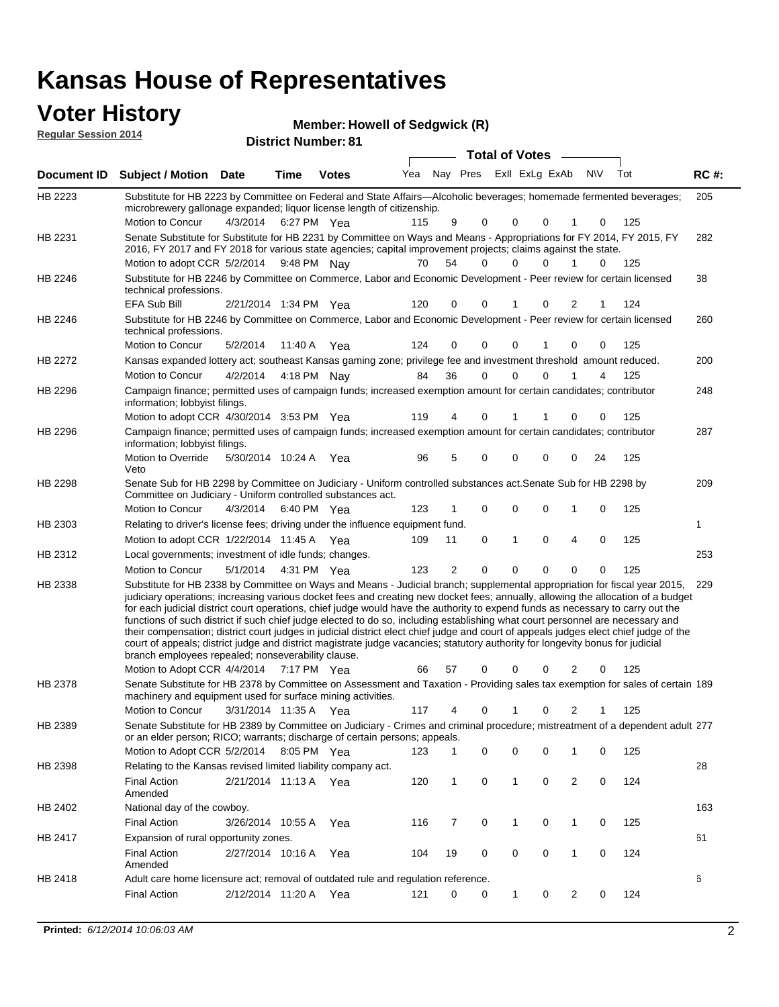# **Voter History**<br> **Regular Session 2014**

| <b>VULCI FIISLUI Y</b>      | <b>Member: Howell of Sedgwick (R)</b> |
|-----------------------------|---------------------------------------|
| <b>Regular Session 2014</b> | <b>District Number: 81</b>            |
|                             | Tota                                  |

|         |                                                                                                                                                                                                                                                                                                                                                                                                                                                                                                                                                                                                                                                                                                                                                                                                                                                                                                                 |                       |                       |              |     |              |             | <b>Total of Votes</b>       |             |          |          |     |             |
|---------|-----------------------------------------------------------------------------------------------------------------------------------------------------------------------------------------------------------------------------------------------------------------------------------------------------------------------------------------------------------------------------------------------------------------------------------------------------------------------------------------------------------------------------------------------------------------------------------------------------------------------------------------------------------------------------------------------------------------------------------------------------------------------------------------------------------------------------------------------------------------------------------------------------------------|-----------------------|-----------------------|--------------|-----|--------------|-------------|-----------------------------|-------------|----------|----------|-----|-------------|
|         | Document ID Subject / Motion Date                                                                                                                                                                                                                                                                                                                                                                                                                                                                                                                                                                                                                                                                                                                                                                                                                                                                               |                       | Time                  | <b>Votes</b> | Yea |              |             | Nay Pres ExII ExLg ExAb N\V |             |          |          | Tot | <b>RC#:</b> |
| HB 2223 | Substitute for HB 2223 by Committee on Federal and State Affairs—Alcoholic beverages; homemade fermented beverages;<br>microbrewery gallonage expanded; liquor license length of citizenship.                                                                                                                                                                                                                                                                                                                                                                                                                                                                                                                                                                                                                                                                                                                   |                       |                       |              |     |              |             |                             |             |          |          |     | 205         |
|         | Motion to Concur                                                                                                                                                                                                                                                                                                                                                                                                                                                                                                                                                                                                                                                                                                                                                                                                                                                                                                | 4/3/2014 6:27 PM Yea  |                       |              | 115 | 9            | 0           | 0                           | 0           |          | 0        | 125 |             |
| HB 2231 | Senate Substitute for Substitute for HB 2231 by Committee on Ways and Means - Appropriations for FY 2014, FY 2015, FY<br>2016, FY 2017 and FY 2018 for various state agencies; capital improvement projects; claims against the state.                                                                                                                                                                                                                                                                                                                                                                                                                                                                                                                                                                                                                                                                          |                       |                       |              |     |              |             |                             |             |          |          |     | 282         |
|         | Motion to adopt CCR 5/2/2014 9:48 PM Nay                                                                                                                                                                                                                                                                                                                                                                                                                                                                                                                                                                                                                                                                                                                                                                                                                                                                        |                       |                       |              | 70  | 54           | $\Omega$    | 0                           | 0           | 1        | $\Omega$ | 125 |             |
| HB 2246 | Substitute for HB 2246 by Committee on Commerce, Labor and Economic Development - Peer review for certain licensed<br>technical professions.                                                                                                                                                                                                                                                                                                                                                                                                                                                                                                                                                                                                                                                                                                                                                                    |                       |                       |              |     |              |             |                             |             |          |          |     | 38          |
|         | <b>EFA Sub Bill</b>                                                                                                                                                                                                                                                                                                                                                                                                                                                                                                                                                                                                                                                                                                                                                                                                                                                                                             |                       | 2/21/2014 1:34 PM Yea |              | 120 | 0            | 0           | 1                           | 0           | 2        | 1        | 124 |             |
| HB 2246 | Substitute for HB 2246 by Committee on Commerce, Labor and Economic Development - Peer review for certain licensed<br>technical professions.                                                                                                                                                                                                                                                                                                                                                                                                                                                                                                                                                                                                                                                                                                                                                                    |                       |                       |              |     |              |             |                             |             |          |          |     | 260         |
|         | Motion to Concur                                                                                                                                                                                                                                                                                                                                                                                                                                                                                                                                                                                                                                                                                                                                                                                                                                                                                                | 5/2/2014              | 11:40 A               | Yea          | 124 | 0            | 0           | $\mathbf 0$                 | 1           | $\Omega$ | 0        | 125 |             |
| HB 2272 | Kansas expanded lottery act; southeast Kansas gaming zone; privilege fee and investment threshold amount reduced.                                                                                                                                                                                                                                                                                                                                                                                                                                                                                                                                                                                                                                                                                                                                                                                               |                       |                       |              |     |              |             |                             |             |          |          |     | 200         |
|         | Motion to Concur                                                                                                                                                                                                                                                                                                                                                                                                                                                                                                                                                                                                                                                                                                                                                                                                                                                                                                | 4/2/2014              |                       | 4:18 PM Nay  | 84  | 36           | $\mathbf 0$ | 0                           | $\Omega$    |          | 4        | 125 |             |
| HB 2296 | Campaign finance; permitted uses of campaign funds; increased exemption amount for certain candidates; contributor<br>information; lobbyist filings.                                                                                                                                                                                                                                                                                                                                                                                                                                                                                                                                                                                                                                                                                                                                                            |                       |                       |              |     |              |             |                             |             |          |          |     | 248         |
|         | Motion to adopt CCR 4/30/2014 3:53 PM Yea                                                                                                                                                                                                                                                                                                                                                                                                                                                                                                                                                                                                                                                                                                                                                                                                                                                                       |                       |                       |              | 119 | 4            | 0           | 1                           |             | 0        | 0        | 125 |             |
| HB 2296 | Campaign finance; permitted uses of campaign funds; increased exemption amount for certain candidates; contributor<br>information; lobbyist filings.                                                                                                                                                                                                                                                                                                                                                                                                                                                                                                                                                                                                                                                                                                                                                            |                       |                       |              |     |              |             |                             |             |          |          |     | 287         |
|         | Motion to Override<br>Veto                                                                                                                                                                                                                                                                                                                                                                                                                                                                                                                                                                                                                                                                                                                                                                                                                                                                                      | 5/30/2014 10:24 A     |                       | Yea          | 96  | 5            | 0           | 0                           | $\Omega$    | 0        | 24       | 125 |             |
| HB 2298 | Senate Sub for HB 2298 by Committee on Judiciary - Uniform controlled substances act. Senate Sub for HB 2298 by<br>Committee on Judiciary - Uniform controlled substances act.                                                                                                                                                                                                                                                                                                                                                                                                                                                                                                                                                                                                                                                                                                                                  |                       |                       |              |     |              |             |                             |             |          |          |     | 209         |
|         | Motion to Concur                                                                                                                                                                                                                                                                                                                                                                                                                                                                                                                                                                                                                                                                                                                                                                                                                                                                                                | 4/3/2014 6:40 PM Yea  |                       |              | 123 | 1            | 0           | 0                           | $\mathbf 0$ |          | 0        | 125 |             |
| HB 2303 | Relating to driver's license fees; driving under the influence equipment fund.                                                                                                                                                                                                                                                                                                                                                                                                                                                                                                                                                                                                                                                                                                                                                                                                                                  |                       |                       |              |     |              |             |                             |             |          |          |     | 1           |
|         | Motion to adopt CCR $1/22/2014$ 11:45 A Yea                                                                                                                                                                                                                                                                                                                                                                                                                                                                                                                                                                                                                                                                                                                                                                                                                                                                     |                       |                       |              | 109 | 11           | 0           | 1                           | $\mathbf 0$ | 4        | 0        | 125 |             |
| HB 2312 | Local governments; investment of idle funds; changes.                                                                                                                                                                                                                                                                                                                                                                                                                                                                                                                                                                                                                                                                                                                                                                                                                                                           |                       |                       |              |     |              |             |                             |             |          |          |     | 253         |
|         | Motion to Concur                                                                                                                                                                                                                                                                                                                                                                                                                                                                                                                                                                                                                                                                                                                                                                                                                                                                                                | 5/1/2014              |                       | 4:31 PM Yea  | 123 | 2            | $\mathbf 0$ | 0                           | 0           | 0        | 0        | 125 |             |
| HB 2338 | Substitute for HB 2338 by Committee on Ways and Means - Judicial branch; supplemental appropriation for fiscal year 2015,<br>judiciary operations; increasing various docket fees and creating new docket fees; annually, allowing the allocation of a budget<br>for each judicial district court operations, chief judge would have the authority to expend funds as necessary to carry out the<br>functions of such district if such chief judge elected to do so, including establishing what court personnel are necessary and<br>their compensation; district court judges in judicial district elect chief judge and court of appeals judges elect chief judge of the<br>court of appeals; district judge and district magistrate judge vacancies; statutory authority for longevity bonus for judicial<br>branch employees repealed; nonseverability clause.<br>Motion to Adopt CCR 4/4/2014 7:17 PM Yea |                       |                       |              | 66  | 57           | 0           | 0                           | 0           | 2        | 0        | 125 | 229         |
| HB 2378 | Senate Substitute for HB 2378 by Committee on Assessment and Taxation - Providing sales tax exemption for sales of certain 189                                                                                                                                                                                                                                                                                                                                                                                                                                                                                                                                                                                                                                                                                                                                                                                  |                       |                       |              |     |              |             |                             |             |          |          |     |             |
|         | machinery and equipment used for surface mining activities.                                                                                                                                                                                                                                                                                                                                                                                                                                                                                                                                                                                                                                                                                                                                                                                                                                                     |                       |                       |              |     |              |             |                             |             |          |          |     |             |
|         | Motion to Concur                                                                                                                                                                                                                                                                                                                                                                                                                                                                                                                                                                                                                                                                                                                                                                                                                                                                                                | 3/31/2014 11:35 A     |                       | Yea          | 117 | 4            | 0           | 1                           | 0           | 2        | 1        | 125 |             |
| HB 2389 | Senate Substitute for HB 2389 by Committee on Judiciary - Crimes and criminal procedure; mistreatment of a dependent adult 277<br>or an elder person; RICO; warrants; discharge of certain persons; appeals.                                                                                                                                                                                                                                                                                                                                                                                                                                                                                                                                                                                                                                                                                                    |                       |                       |              |     |              |             |                             |             |          |          |     |             |
|         | Motion to Adopt CCR 5/2/2014                                                                                                                                                                                                                                                                                                                                                                                                                                                                                                                                                                                                                                                                                                                                                                                                                                                                                    |                       | 8:05 PM Yea           |              | 123 | 1            | 0           | 0                           | 0           | 1        | 0        | 125 |             |
| HB 2398 | Relating to the Kansas revised limited liability company act.                                                                                                                                                                                                                                                                                                                                                                                                                                                                                                                                                                                                                                                                                                                                                                                                                                                   |                       |                       |              |     |              |             |                             |             |          |          |     | 28          |
|         | <b>Final Action</b><br>Amended                                                                                                                                                                                                                                                                                                                                                                                                                                                                                                                                                                                                                                                                                                                                                                                                                                                                                  |                       | 2/21/2014 11:13 A Yea |              | 120 | $\mathbf{1}$ | 0           | 1                           | 0           | 2        | 0        | 124 |             |
| HB 2402 | National day of the cowboy.                                                                                                                                                                                                                                                                                                                                                                                                                                                                                                                                                                                                                                                                                                                                                                                                                                                                                     |                       |                       |              |     |              |             |                             |             |          |          |     | 163         |
|         | <b>Final Action</b>                                                                                                                                                                                                                                                                                                                                                                                                                                                                                                                                                                                                                                                                                                                                                                                                                                                                                             | 3/26/2014 10:55 A     |                       | Yea          | 116 | 7            | 0           | 1                           | 0           | 1        | 0        | 125 |             |
| HB 2417 | Expansion of rural opportunity zones.                                                                                                                                                                                                                                                                                                                                                                                                                                                                                                                                                                                                                                                                                                                                                                                                                                                                           |                       |                       |              |     |              |             |                             |             |          |          |     | 61          |
|         | <b>Final Action</b><br>Amended                                                                                                                                                                                                                                                                                                                                                                                                                                                                                                                                                                                                                                                                                                                                                                                                                                                                                  | 2/27/2014 10:16 A     |                       | Yea          | 104 | 19           | 0           | 0                           | 0           | 1        | 0        | 124 |             |
| HB 2418 | Adult care home licensure act; removal of outdated rule and regulation reference.                                                                                                                                                                                                                                                                                                                                                                                                                                                                                                                                                                                                                                                                                                                                                                                                                               |                       |                       |              |     |              |             |                             |             |          |          |     | 6           |
|         | <b>Final Action</b>                                                                                                                                                                                                                                                                                                                                                                                                                                                                                                                                                                                                                                                                                                                                                                                                                                                                                             | 2/12/2014 11:20 A Yea |                       |              | 121 | 0            | 0           | 1                           | 0           | 2        | 0        | 124 |             |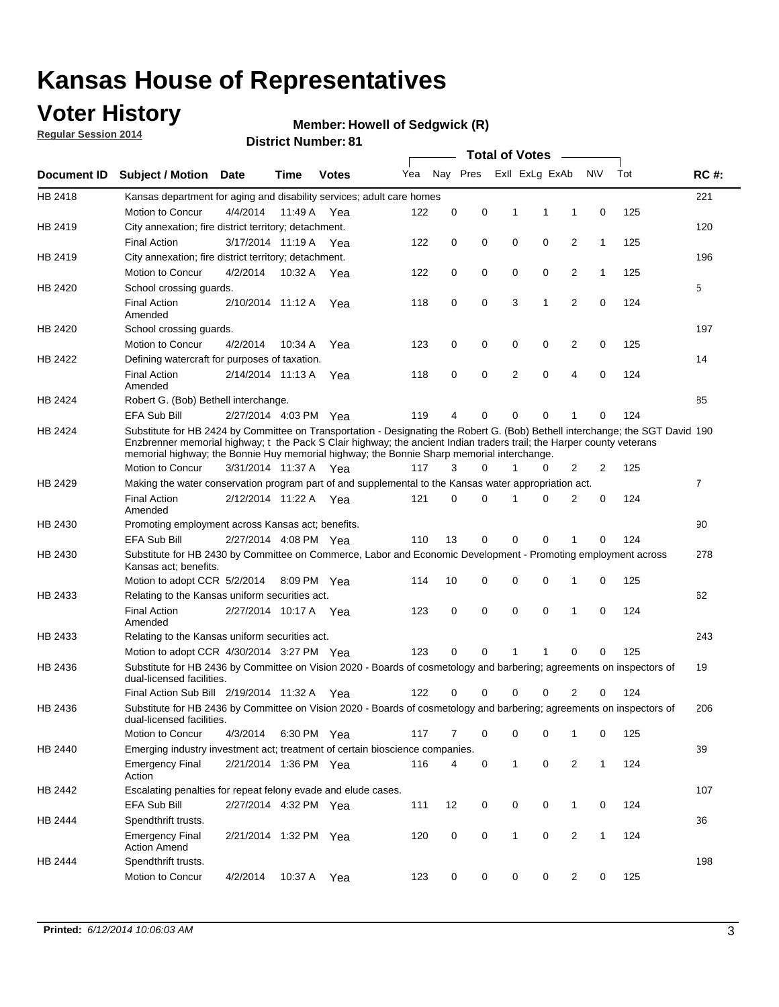### **Voter History**

**Regular Session 2014**

#### **Member: Howell of Sedgwick (R)**

|             |                                                                                                                                                                                                                                                                                                                                                      |                       |             | <b>DISTING MATTIMEL</b> OF |     |          |             | <b>Total of Votes</b> |                |                |              |     |                |
|-------------|------------------------------------------------------------------------------------------------------------------------------------------------------------------------------------------------------------------------------------------------------------------------------------------------------------------------------------------------------|-----------------------|-------------|----------------------------|-----|----------|-------------|-----------------------|----------------|----------------|--------------|-----|----------------|
| Document ID | <b>Subject / Motion Date</b>                                                                                                                                                                                                                                                                                                                         |                       | Time        | <b>Votes</b>               | Yea |          | Nay Pres    |                       | Exll ExLg ExAb |                | <b>NV</b>    | Tot | <b>RC#:</b>    |
| HB 2418     | Kansas department for aging and disability services; adult care homes                                                                                                                                                                                                                                                                                |                       |             |                            |     |          |             |                       |                |                |              |     | 221            |
|             | Motion to Concur                                                                                                                                                                                                                                                                                                                                     | 4/4/2014              | 11:49 A     | Yea                        | 122 | 0        | 0           | 1                     | 1              | 1              | 0            | 125 |                |
| HB 2419     | City annexation; fire district territory; detachment.                                                                                                                                                                                                                                                                                                |                       |             |                            |     |          |             |                       |                |                |              |     | 120            |
|             | <b>Final Action</b>                                                                                                                                                                                                                                                                                                                                  | 3/17/2014 11:19 A     |             | Yea                        | 122 | 0        | 0           | $\mathbf 0$           | 0              | $\overline{2}$ | 1            | 125 |                |
| HB 2419     | City annexation; fire district territory; detachment.                                                                                                                                                                                                                                                                                                |                       |             |                            |     |          |             |                       |                |                |              |     | 196            |
|             | Motion to Concur                                                                                                                                                                                                                                                                                                                                     | 4/2/2014              | 10:32 A     | Yea                        | 122 | 0        | 0           | $\mathbf 0$           | 0              | 2              | 1            | 125 |                |
| HB 2420     | School crossing guards.                                                                                                                                                                                                                                                                                                                              |                       |             |                            |     |          |             |                       |                |                |              |     | 5              |
|             | <b>Final Action</b><br>Amended                                                                                                                                                                                                                                                                                                                       | 2/10/2014 11:12 A     |             | Yea                        | 118 | 0        | 0           | 3                     | 1              | $\overline{2}$ | 0            | 124 |                |
| HB 2420     | School crossing guards.                                                                                                                                                                                                                                                                                                                              |                       |             |                            |     |          |             |                       |                |                |              |     | 197            |
|             | Motion to Concur                                                                                                                                                                                                                                                                                                                                     | 4/2/2014              | 10:34 A     | Yea                        | 123 | 0        | 0           | 0                     | 0              | 2              | 0            | 125 |                |
| HB 2422     | Defining watercraft for purposes of taxation.                                                                                                                                                                                                                                                                                                        |                       |             |                            |     |          |             |                       |                |                |              |     | 14             |
|             | <b>Final Action</b><br>Amended                                                                                                                                                                                                                                                                                                                       | 2/14/2014 11:13 A     |             | Yea                        | 118 | 0        | 0           | $\overline{2}$        | $\mathbf 0$    | $\overline{4}$ | 0            | 124 |                |
| HB 2424     | Robert G. (Bob) Bethell interchange.                                                                                                                                                                                                                                                                                                                 |                       |             |                            |     |          |             |                       |                |                |              |     | 85             |
|             | <b>EFA Sub Bill</b>                                                                                                                                                                                                                                                                                                                                  | 2/27/2014 4:03 PM Yea |             |                            | 119 | 4        | 0           | 0                     | 0              | 1              | 0            | 124 |                |
| HB 2424     | Substitute for HB 2424 by Committee on Transportation - Designating the Robert G. (Bob) Bethell interchange; the SGT David 190<br>Enzbrenner memorial highway; t the Pack S Clair highway; the ancient Indian traders trail; the Harper county veterans<br>memorial highway; the Bonnie Huy memorial highway; the Bonnie Sharp memorial interchange. |                       |             |                            |     |          |             |                       |                |                |              |     |                |
|             | Motion to Concur                                                                                                                                                                                                                                                                                                                                     | 3/31/2014 11:37 A Yea |             |                            | 117 | 3        | 0           | 1                     | 0              | 2              | 2            | 125 |                |
| HB 2429     | Making the water conservation program part of and supplemental to the Kansas water appropriation act.                                                                                                                                                                                                                                                |                       |             |                            |     |          |             |                       |                |                |              |     | $\overline{7}$ |
|             | <b>Final Action</b><br>Amended                                                                                                                                                                                                                                                                                                                       | 2/12/2014 11:22 A     |             | Yea                        | 121 | $\Omega$ | 0           | 1                     | $\Omega$       | $\overline{2}$ | 0            | 124 |                |
| HB 2430     | Promoting employment across Kansas act; benefits.                                                                                                                                                                                                                                                                                                    |                       |             |                            |     |          |             |                       |                |                |              |     | 90             |
|             | EFA Sub Bill                                                                                                                                                                                                                                                                                                                                         | 2/27/2014 4:08 PM Yea |             |                            | 110 | 13       | 0           | 0                     | 0              |                | 0            | 124 |                |
| HB 2430     | Substitute for HB 2430 by Committee on Commerce, Labor and Economic Development - Promoting employment across<br>Kansas act; benefits.                                                                                                                                                                                                               |                       |             |                            |     |          |             |                       |                |                |              |     | 278            |
|             | Motion to adopt CCR 5/2/2014                                                                                                                                                                                                                                                                                                                         |                       | 8:09 PM Yea |                            | 114 | 10       | 0           | 0                     | 0              | 1              | $\mathbf 0$  | 125 |                |
| HB 2433     | Relating to the Kansas uniform securities act.                                                                                                                                                                                                                                                                                                       |                       |             |                            |     |          |             |                       |                |                |              |     | 62             |
|             | <b>Final Action</b><br>Amended                                                                                                                                                                                                                                                                                                                       | 2/27/2014 10:17 A Yea |             |                            | 123 | 0        | $\mathbf 0$ | $\mathbf 0$           | $\mathbf 0$    | 1              | $\Omega$     | 124 |                |
| HB 2433     | Relating to the Kansas uniform securities act.                                                                                                                                                                                                                                                                                                       |                       |             |                            |     |          |             |                       |                |                |              |     | 243            |
|             | Motion to adopt CCR 4/30/2014 3:27 PM Yea                                                                                                                                                                                                                                                                                                            |                       |             |                            | 123 | 0        | 0           | 1                     | 1              | 0              | 0            | 125 |                |
| HB 2436     | Substitute for HB 2436 by Committee on Vision 2020 - Boards of cosmetology and barbering; agreements on inspectors of<br>dual-licensed facilities.                                                                                                                                                                                                   |                       |             |                            |     |          |             |                       |                |                |              |     | 19             |
|             | Final Action Sub Bill 2/19/2014 11:32 A                                                                                                                                                                                                                                                                                                              |                       |             | Yea                        | 122 | 0        | 0           | 0                     | 0              | 2              | 0            | 124 |                |
| HB 2436     | Substitute for HB 2436 by Committee on Vision 2020 - Boards of cosmetology and barbering; agreements on inspectors of<br>dual-licensed facilities.                                                                                                                                                                                                   |                       |             |                            |     |          |             |                       |                |                |              |     | 206            |
|             | Motion to Concur                                                                                                                                                                                                                                                                                                                                     | 4/3/2014              |             | 6:30 PM Yea                | 117 | 7        | 0           | 0                     | 0              | 1              | 0            | 125 |                |
| HB 2440     | Emerging industry investment act; treatment of certain bioscience companies.                                                                                                                                                                                                                                                                         |                       |             |                            |     |          |             |                       |                |                |              |     | 39             |
|             | <b>Emergency Final</b><br>Action                                                                                                                                                                                                                                                                                                                     | 2/21/2014 1:36 PM Yea |             |                            | 116 | 4        | 0           | $\mathbf{1}$          | 0              | 2              | $\mathbf{1}$ | 124 |                |
| HB 2442     | Escalating penalties for repeat felony evade and elude cases.                                                                                                                                                                                                                                                                                        |                       |             |                            |     |          |             |                       |                |                |              |     | 107            |
|             | EFA Sub Bill                                                                                                                                                                                                                                                                                                                                         | 2/27/2014 4:32 PM Yea |             |                            | 111 | 12       | 0           | 0                     | 0              | $\mathbf{1}$   | 0            | 124 |                |
| HB 2444     | Spendthrift trusts.                                                                                                                                                                                                                                                                                                                                  |                       |             |                            |     |          |             |                       |                |                |              |     | 36             |
|             | <b>Emergency Final</b><br><b>Action Amend</b>                                                                                                                                                                                                                                                                                                        | 2/21/2014 1:32 PM Yea |             |                            | 120 | 0        | 0           | 1                     | 0              | $\overline{2}$ | 1            | 124 |                |
| HB 2444     | Spendthrift trusts.<br>Motion to Concur                                                                                                                                                                                                                                                                                                              | 4/2/2014              | 10:37 A     | Yea                        | 123 | 0        | 0           | 0                     | 0              | $\overline{2}$ | 0            | 125 | 198            |
|             |                                                                                                                                                                                                                                                                                                                                                      |                       |             |                            |     |          |             |                       |                |                |              |     |                |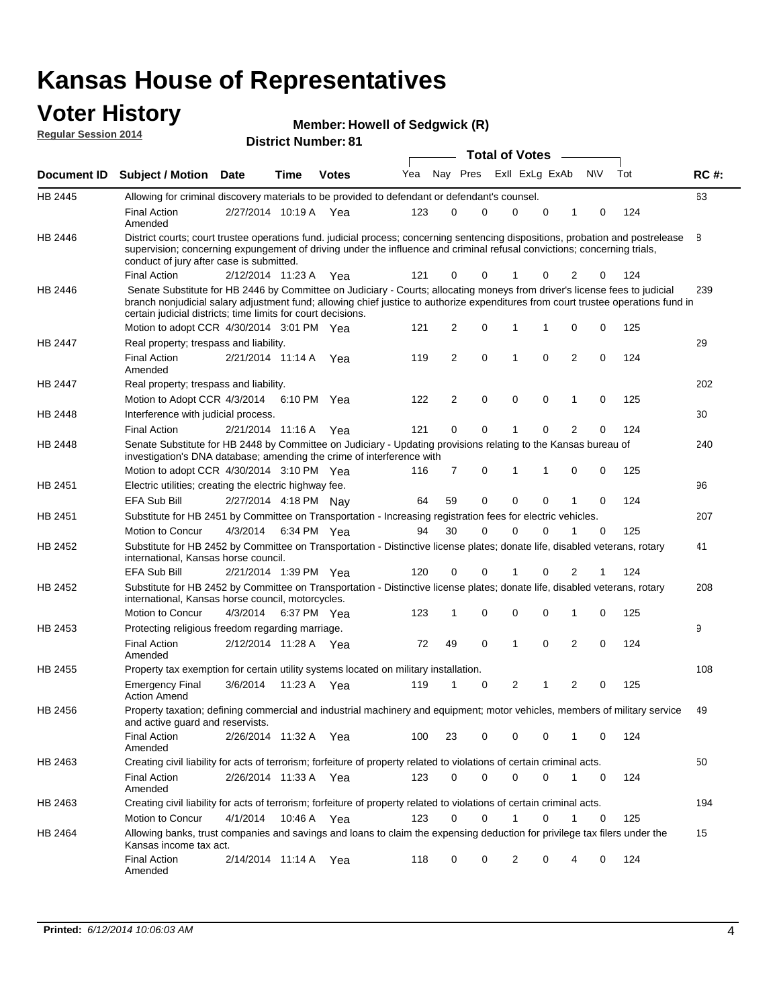#### **Voter History**<br> **Memb**<br> **Regular Session 2014**<br> **Circuit Alberti Regular Session 2014**

|  |  | <b>Member: Howell of Sedgwick (R)</b> |  |
|--|--|---------------------------------------|--|
|  |  |                                       |  |

|                |                                                                                                                                                                                                                                                                                                                                 |                       |      | <b>District Number: 81</b> |     |                |             |                         |   |                |             |     |             |
|----------------|---------------------------------------------------------------------------------------------------------------------------------------------------------------------------------------------------------------------------------------------------------------------------------------------------------------------------------|-----------------------|------|----------------------------|-----|----------------|-------------|-------------------------|---|----------------|-------------|-----|-------------|
|                |                                                                                                                                                                                                                                                                                                                                 |                       |      |                            |     |                |             | <b>Total of Votes</b>   |   |                |             |     |             |
|                | Document ID Subject / Motion                                                                                                                                                                                                                                                                                                    | <b>Date</b>           | Time | <b>Votes</b>               | Yea |                |             | Nay Pres ExII ExLg ExAb |   |                | <b>NIV</b>  | Tot | <b>RC#:</b> |
| HB 2445        | Allowing for criminal discovery materials to be provided to defendant or defendant's counsel.                                                                                                                                                                                                                                   |                       |      |                            |     |                |             |                         |   |                |             |     | 63          |
|                | <b>Final Action</b><br>Amended                                                                                                                                                                                                                                                                                                  | 2/27/2014 10:19 A Yea |      |                            | 123 | $\Omega$       | 0           | 0                       | 0 | 1              | 0           | 124 |             |
| HB 2446        | District courts; court trustee operations fund. judicial process; concerning sentencing dispositions, probation and postrelease<br>supervision; concerning expungement of driving under the influence and criminal refusal convictions; concerning trials,<br>conduct of jury after case is submitted.                          |                       |      |                            |     |                |             |                         |   |                |             |     | 8           |
|                | <b>Final Action</b>                                                                                                                                                                                                                                                                                                             | 2/12/2014 11:23 A     |      | Yea                        | 121 | 0              | 0           |                         | 0 | 2              | 0           | 124 |             |
| HB 2446        | Senate Substitute for HB 2446 by Committee on Judiciary - Courts; allocating moneys from driver's license fees to judicial<br>branch nonjudicial salary adjustment fund; allowing chief justice to authorize expenditures from court trustee operations fund in<br>certain judicial districts; time limits for court decisions. |                       |      |                            |     |                |             |                         |   |                |             |     | 239         |
|                | Motion to adopt CCR 4/30/2014 3:01 PM Yea                                                                                                                                                                                                                                                                                       |                       |      |                            | 121 | 2              | 0           | 1                       | 1 | $\mathbf 0$    | 0           | 125 |             |
| <b>HB 2447</b> | Real property; trespass and liability.                                                                                                                                                                                                                                                                                          |                       |      |                            |     |                |             |                         |   |                |             |     | 29          |
|                | <b>Final Action</b><br>Amended                                                                                                                                                                                                                                                                                                  | 2/21/2014 11:14 A     |      | Yea                        | 119 | $\overline{2}$ | $\mathbf 0$ | 1                       | 0 | $\overline{2}$ | 0           | 124 |             |
| HB 2447        | Real property; trespass and liability.                                                                                                                                                                                                                                                                                          |                       |      |                            |     |                |             |                         |   |                |             |     | 202         |
|                | Motion to Adopt CCR 4/3/2014 6:10 PM Yea                                                                                                                                                                                                                                                                                        |                       |      |                            | 122 | 2              | 0           | 0                       | 0 | 1              | 0           | 125 |             |
| HB 2448        | Interference with judicial process.                                                                                                                                                                                                                                                                                             |                       |      |                            |     |                |             |                         |   |                |             |     | 30          |
|                | <b>Final Action</b>                                                                                                                                                                                                                                                                                                             | 2/21/2014 11:16 A     |      | Yea                        | 121 | 0              | 0           | 1                       | 0 | $\overline{2}$ |             | 124 |             |
| HB 2448        | Senate Substitute for HB 2448 by Committee on Judiciary - Updating provisions relating to the Kansas bureau of<br>investigation's DNA database; amending the crime of interference with                                                                                                                                         |                       |      |                            |     |                |             |                         |   |                |             |     | 240         |
|                | Motion to adopt CCR 4/30/2014 3:10 PM Yea                                                                                                                                                                                                                                                                                       |                       |      |                            | 116 | 7              | 0           | 1                       | 1 | 0              | 0           | 125 |             |
| HB 2451        | Electric utilities; creating the electric highway fee.                                                                                                                                                                                                                                                                          |                       |      |                            |     |                |             |                         |   |                |             |     | 96          |
|                | <b>EFA Sub Bill</b>                                                                                                                                                                                                                                                                                                             | 2/27/2014 4:18 PM Nay |      |                            | 64  | 59             | 0           | $\mathbf 0$             | 0 |                | 0           | 124 |             |
| HB 2451        | Substitute for HB 2451 by Committee on Transportation - Increasing registration fees for electric vehicles.                                                                                                                                                                                                                     |                       |      |                            |     |                |             |                         |   |                |             |     | 207         |
|                | Motion to Concur                                                                                                                                                                                                                                                                                                                | 4/3/2014              |      | 6:34 PM Yea                | 94  | 30             | 0           | 0                       | 0 | 1              | 0           | 125 |             |
| HB 2452        | Substitute for HB 2452 by Committee on Transportation - Distinctive license plates; donate life, disabled veterans, rotary<br>international, Kansas horse council.                                                                                                                                                              |                       |      |                            |     |                |             |                         |   |                |             |     | 41          |
|                | <b>EFA Sub Bill</b>                                                                                                                                                                                                                                                                                                             | 2/21/2014 1:39 PM Yea |      |                            | 120 | 0              | 0           | 1                       | 0 | 2              |             | 124 |             |
| HB 2452        | Substitute for HB 2452 by Committee on Transportation - Distinctive license plates; donate life, disabled veterans, rotary<br>international, Kansas horse council, motorcycles.                                                                                                                                                 |                       |      |                            |     |                |             |                         |   |                |             |     | 208         |
|                | Motion to Concur                                                                                                                                                                                                                                                                                                                | 4/3/2014              |      | 6:37 PM Yea                | 123 | 1              | 0           | $\mathbf 0$             | 0 | 1              | 0           | 125 |             |
| HB 2453        | Protecting religious freedom regarding marriage.                                                                                                                                                                                                                                                                                |                       |      |                            |     |                |             |                         |   |                |             |     | 9           |
|                | <b>Final Action</b><br>Amended                                                                                                                                                                                                                                                                                                  | 2/12/2014 11:28 A Yea |      |                            | 72  | 49             | 0           | 1                       | 0 | 2              | 0           | 124 |             |
| HB 2455        | Property tax exemption for certain utility systems located on military installation.                                                                                                                                                                                                                                            |                       |      |                            |     |                |             |                         |   |                |             |     | 108         |
|                | <b>Emergency Final</b><br><b>Action Amend</b>                                                                                                                                                                                                                                                                                   | 3/6/2014              |      | 11:23 A Yea                | 119 | 1              | 0           | 2                       | 1 | 2              | 0           | 125 |             |
| HB 2456        | Property taxation; defining commercial and industrial machinery and equipment; motor vehicles, members of military service<br>and active quard and reservists.                                                                                                                                                                  |                       |      |                            |     |                |             |                         |   |                |             |     | 49          |
|                | <b>Final Action</b><br>Amended                                                                                                                                                                                                                                                                                                  | 2/26/2014 11:32 A Yea |      |                            | 100 | 23             | 0           | 0                       | 0 | 1              | $\mathbf 0$ | 124 |             |
| HB 2463        | Creating civil liability for acts of terrorism; forfeiture of property related to violations of certain criminal acts.                                                                                                                                                                                                          |                       |      |                            |     |                |             |                         |   |                |             |     | 50          |
|                | <b>Final Action</b><br>Amended                                                                                                                                                                                                                                                                                                  | 2/26/2014 11:33 A Yea |      |                            | 123 | 0              | 0           | 0                       | 0 | $\mathbf{1}$   | 0           | 124 |             |
| HB 2463        | Creating civil liability for acts of terrorism; forfeiture of property related to violations of certain criminal acts.                                                                                                                                                                                                          |                       |      |                            |     |                |             |                         |   |                |             |     | 194         |
|                | Motion to Concur                                                                                                                                                                                                                                                                                                                | 4/1/2014              |      | 10:46 A Yea                | 123 | 0              | 0           | 1                       | 0 | 1              | 0           | 125 |             |
| HB 2464        | Allowing banks, trust companies and savings and loans to claim the expensing deduction for privilege tax filers under the<br>Kansas income tax act.                                                                                                                                                                             |                       |      |                            |     |                |             |                         |   |                |             |     | 15          |
|                | <b>Final Action</b><br>Amended                                                                                                                                                                                                                                                                                                  | 2/14/2014 11:14 A Yea |      |                            | 118 | 0              | 0           | 2                       | 0 | 4              | 0           | 124 |             |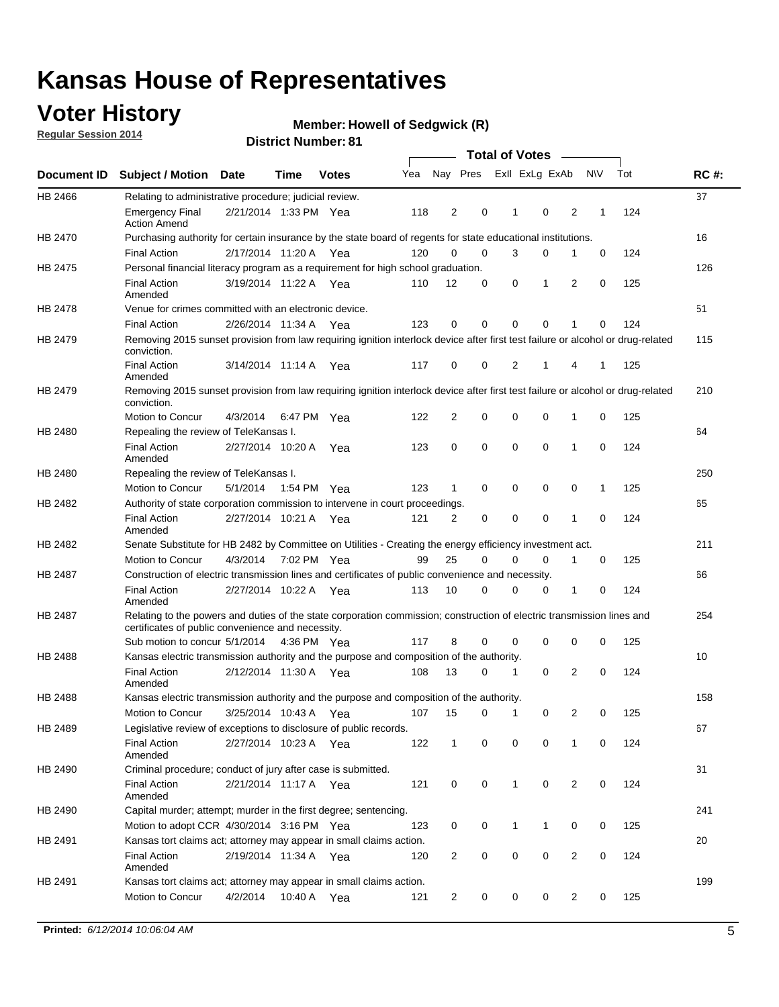### **Voter History**

**Regular Session 2014**

#### **Member: Howell of Sedgwick (R)**

|                |                                                                                                                                                                             |                       |             |              |     |                |             | <b>Total of Votes</b> |              |                |   |             |     |             |
|----------------|-----------------------------------------------------------------------------------------------------------------------------------------------------------------------------|-----------------------|-------------|--------------|-----|----------------|-------------|-----------------------|--------------|----------------|---|-------------|-----|-------------|
|                | Document ID Subject / Motion Date                                                                                                                                           |                       | Time        | <b>Votes</b> | Yea |                | Nay Pres    |                       |              | Exll ExLg ExAb |   | <b>NV</b>   | Tot | <b>RC#:</b> |
| HB 2466        | Relating to administrative procedure; judicial review.                                                                                                                      |                       |             |              |     |                |             |                       |              |                |   |             |     | 37          |
|                | <b>Emergency Final</b><br><b>Action Amend</b>                                                                                                                               | 2/21/2014 1:33 PM Yea |             |              | 118 | 2              | 0           |                       | 1            | 0              | 2 | 1           | 124 |             |
| <b>HB 2470</b> | Purchasing authority for certain insurance by the state board of regents for state educational institutions.                                                                |                       |             |              |     |                |             |                       |              |                |   |             |     | 16          |
|                | <b>Final Action</b>                                                                                                                                                         | 2/17/2014 11:20 A Yea |             |              | 120 | 0              | 0           |                       | 3            | 0              | 1 | 0           | 124 |             |
| HB 2475        | Personal financial literacy program as a requirement for high school graduation.                                                                                            |                       |             |              |     |                |             |                       |              |                |   |             |     | 126         |
|                | <b>Final Action</b><br>Amended                                                                                                                                              | 3/19/2014 11:22 A Yea |             |              | 110 | 12             | 0           |                       | 0            | 1              | 2 | $\mathbf 0$ | 125 |             |
| HB 2478        | Venue for crimes committed with an electronic device.                                                                                                                       |                       |             |              |     |                |             |                       |              |                |   |             |     | 51          |
|                | <b>Final Action</b>                                                                                                                                                         | 2/26/2014 11:34 A     |             | Yea          | 123 | 0              | 0           |                       | $\mathbf 0$  | $\mathbf 0$    | 1 | 0           | 124 |             |
| HB 2479        | Removing 2015 sunset provision from law requiring ignition interlock device after first test failure or alcohol or drug-related<br>conviction.                              |                       |             |              |     |                |             |                       |              |                |   |             |     | 115         |
|                | <b>Final Action</b><br>Amended                                                                                                                                              | 3/14/2014 11:14 A     |             | Yea          | 117 | $\mathbf 0$    | 0           |                       | 2            | 1              | 4 | 1           | 125 |             |
| HB 2479        | Removing 2015 sunset provision from law requiring ignition interlock device after first test failure or alcohol or drug-related<br>conviction.                              |                       |             |              |     |                |             |                       |              |                |   |             |     | 210         |
|                | <b>Motion to Concur</b>                                                                                                                                                     | 4/3/2014              |             | 6:47 PM Yea  | 122 | $\overline{2}$ | 0           |                       | 0            | $\mathbf 0$    | 1 | 0           | 125 |             |
| HB 2480        | Repealing the review of TeleKansas I.                                                                                                                                       |                       |             |              |     |                |             |                       |              |                |   |             |     | 64          |
|                | <b>Final Action</b><br>Amended                                                                                                                                              | 2/27/2014 10:20 A     |             | Yea          | 123 | 0              | 0           |                       | $\mathbf 0$  | $\mathbf 0$    | 1 | 0           | 124 |             |
| HB 2480        | Repealing the review of TeleKansas I.                                                                                                                                       |                       |             |              |     |                |             |                       |              |                |   |             |     | 250         |
|                | Motion to Concur                                                                                                                                                            | 5/1/2014              |             | 1:54 PM Yea  | 123 | 1              | 0           |                       | 0            | 0              | 0 | 1           | 125 |             |
| HB 2482        | Authority of state corporation commission to intervene in court proceedings.                                                                                                |                       |             |              |     |                |             |                       |              |                |   |             |     | 65          |
|                | <b>Final Action</b><br>Amended                                                                                                                                              | 2/27/2014 10:21 A     |             | Yea          | 121 | $\overline{2}$ | 0           |                       | $\mathbf 0$  | $\mathbf 0$    | 1 | $\mathbf 0$ | 124 |             |
| HB 2482        | Senate Substitute for HB 2482 by Committee on Utilities - Creating the energy efficiency investment act.                                                                    |                       |             |              |     |                |             |                       |              |                |   |             |     | 211         |
|                | Motion to Concur                                                                                                                                                            | 4/3/2014              | 7:02 PM Yea |              | 99  | 25             | $\mathbf 0$ |                       | 0            | $\mathbf 0$    | 1 | 0           | 125 |             |
| HB 2487        | Construction of electric transmission lines and certificates of public convenience and necessity.                                                                           |                       |             |              |     |                |             |                       |              |                |   |             |     | 66          |
|                | <b>Final Action</b><br>Amended                                                                                                                                              | 2/27/2014 10:22 A     |             | Yea          | 113 | 10             | 0           |                       | 0            | 0              | 1 | 0           | 124 |             |
| HB 2487        | Relating to the powers and duties of the state corporation commission; construction of electric transmission lines and<br>certificates of public convenience and necessity. |                       |             |              |     |                |             |                       |              |                |   |             |     | 254         |
|                | Sub motion to concur 5/1/2014                                                                                                                                               |                       |             | 4:36 PM Yea  | 117 | 8              | 0           |                       | 0            | 0              | 0 | 0           | 125 |             |
| <b>HB 2488</b> | Kansas electric transmission authority and the purpose and composition of the authority.                                                                                    |                       |             |              |     |                |             |                       |              |                |   |             |     | 10          |
|                | <b>Final Action</b><br>Amended                                                                                                                                              | 2/12/2014 11:30 A     |             | Yea          | 108 | 13             | 0           |                       | 1            | 0              | 2 | 0           | 124 |             |
| <b>HB 2488</b> | Kansas electric transmission authority and the purpose and composition of the authority.                                                                                    |                       |             |              |     |                |             |                       |              |                |   |             |     | 158         |
|                | Motion to Concur                                                                                                                                                            | 3/25/2014 10:43 A     |             | Yea          | 107 | 15             | 0           |                       | 1            | 0              | 2 | 0           | 125 |             |
| HB 2489        | Legislative review of exceptions to disclosure of public records.                                                                                                           |                       |             |              |     |                |             |                       |              |                |   |             |     | 67          |
|                | <b>Final Action</b><br>Amended                                                                                                                                              | 2/27/2014 10:23 A Yea |             |              | 122 | $\mathbf 1$    | 0           |                       | 0            | 0              | 1 | 0           | 124 |             |
| HB 2490        | Criminal procedure; conduct of jury after case is submitted.                                                                                                                |                       |             |              |     |                |             |                       |              |                |   |             |     | 31          |
|                | <b>Final Action</b><br>Amended                                                                                                                                              | 2/21/2014 11:17 A Yea |             |              | 121 | 0              | 0           |                       | $\mathbf{1}$ | $\mathbf 0$    | 2 | 0           | 124 |             |
| HB 2490        | Capital murder; attempt; murder in the first degree; sentencing.                                                                                                            |                       |             |              |     |                |             |                       |              |                |   |             |     | 241         |
|                | Motion to adopt CCR 4/30/2014 3:16 PM Yea                                                                                                                                   |                       |             |              | 123 | 0              | 0           |                       | $\mathbf{1}$ | 1              | 0 | 0           | 125 |             |
| HB 2491        | Kansas tort claims act; attorney may appear in small claims action.                                                                                                         |                       |             |              |     |                |             |                       |              |                |   |             |     | 20          |
|                | <b>Final Action</b><br>Amended                                                                                                                                              | 2/19/2014 11:34 A Yea |             |              | 120 | $\overline{c}$ | 0           |                       | 0            | $\pmb{0}$      | 2 | 0           | 124 |             |
| HB 2491        | Kansas tort claims act; attorney may appear in small claims action.                                                                                                         |                       |             |              |     |                |             |                       |              |                |   |             |     | 199         |
|                | Motion to Concur                                                                                                                                                            | 4/2/2014              |             | 10:40 A Yea  | 121 | 2              | 0           |                       | 0            | 0              | 2 | 0           | 125 |             |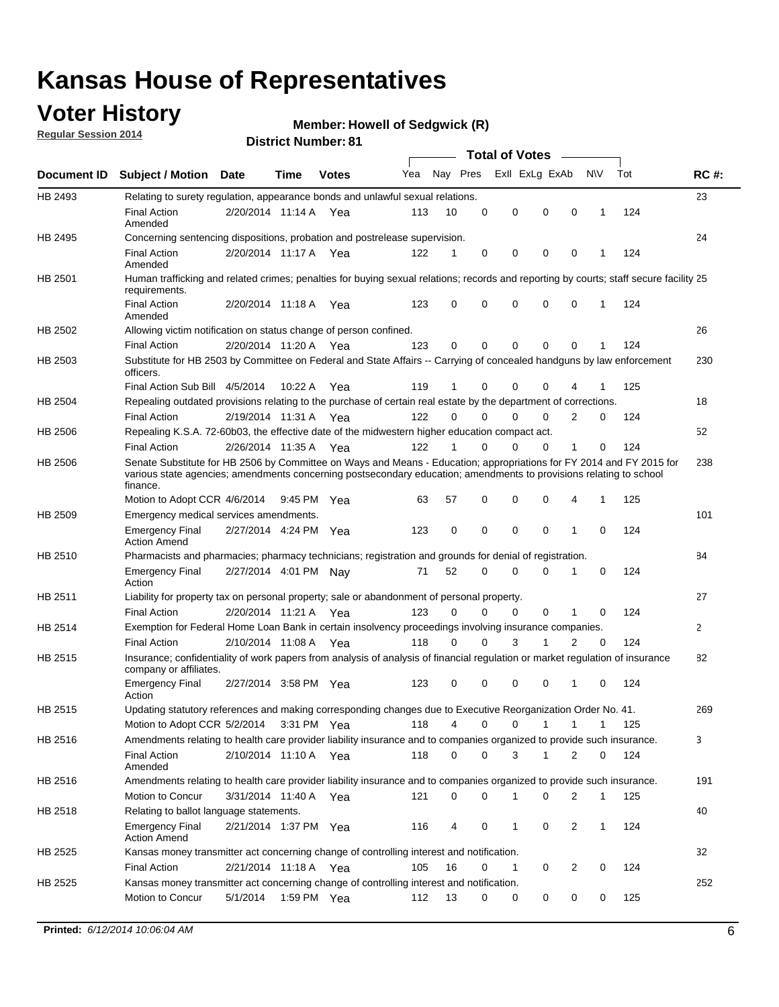### **Voter History**

**Regular Session 2014**

#### **Member: Howell of Sedgwick (R)**

|                |                                                                                                                                                                                                                                                        |                       |             |              |     |          |          | <b>Total of Votes</b> |              |              |              |     |                |
|----------------|--------------------------------------------------------------------------------------------------------------------------------------------------------------------------------------------------------------------------------------------------------|-----------------------|-------------|--------------|-----|----------|----------|-----------------------|--------------|--------------|--------------|-----|----------------|
|                | Document ID Subject / Motion Date                                                                                                                                                                                                                      |                       | Time        | <b>Votes</b> | Yea | Nay Pres |          | Exll ExLg ExAb        |              |              | <b>NV</b>    | Tot | <b>RC#:</b>    |
| HB 2493        | Relating to surety regulation, appearance bonds and unlawful sexual relations.                                                                                                                                                                         |                       |             |              |     |          |          |                       |              |              |              |     | 23             |
|                | <b>Final Action</b><br>Amended                                                                                                                                                                                                                         | 2/20/2014 11:14 A     |             | Yea          | 113 | 10       | 0        | 0                     | 0            | 0            | 1            | 124 |                |
| HB 2495        | Concerning sentencing dispositions, probation and postrelease supervision.                                                                                                                                                                             |                       |             |              |     |          |          |                       |              |              |              |     | 24             |
|                | <b>Final Action</b><br>Amended                                                                                                                                                                                                                         | 2/20/2014 11:17 A Yea |             |              | 122 | 1        | 0        | 0                     | 0            | 0            | 1            | 124 |                |
| HB 2501        | Human trafficking and related crimes; penalties for buying sexual relations; records and reporting by courts; staff secure facility 25<br>requirements.                                                                                                |                       |             |              |     |          |          |                       |              |              |              |     |                |
|                | <b>Final Action</b><br>Amended                                                                                                                                                                                                                         | 2/20/2014 11:18 A Yea |             |              | 123 | 0        | 0        | 0                     | 0            | $\mathbf 0$  | 1            | 124 |                |
| HB 2502        | Allowing victim notification on status change of person confined.                                                                                                                                                                                      |                       |             |              |     |          |          |                       |              |              |              |     | 26             |
|                | <b>Final Action</b>                                                                                                                                                                                                                                    | 2/20/2014 11:20 A Yea |             |              | 123 | 0        | 0        | 0                     | 0            | $\Omega$     |              | 124 |                |
| HB 2503        | Substitute for HB 2503 by Committee on Federal and State Affairs -- Carrying of concealed handguns by law enforcement<br>officers.                                                                                                                     |                       |             |              |     |          |          |                       |              |              |              |     | 230            |
|                | Final Action Sub Bill 4/5/2014                                                                                                                                                                                                                         |                       | 10:22 A     | Yea          | 119 |          | 0        | 0                     | 0            | 4            |              | 125 |                |
| HB 2504        | Repealing outdated provisions relating to the purchase of certain real estate by the department of corrections.                                                                                                                                        |                       |             |              |     |          |          |                       |              |              |              |     | 18             |
|                | <b>Final Action</b>                                                                                                                                                                                                                                    | 2/19/2014 11:31 A Yea |             |              | 122 | $\Omega$ | 0        | 0                     | $\Omega$     | 2            | 0            | 124 |                |
| <b>HB 2506</b> | Repealing K.S.A. 72-60b03, the effective date of the midwestern higher education compact act.                                                                                                                                                          |                       |             |              |     |          |          |                       |              |              |              |     | 52             |
|                | <b>Final Action</b>                                                                                                                                                                                                                                    | 2/26/2014 11:35 A Yea |             |              | 122 |          | 0        | 0                     | 0            | 1            | 0            | 124 |                |
| HB 2506        | Senate Substitute for HB 2506 by Committee on Ways and Means - Education; appropriations for FY 2014 and FY 2015 for<br>various state agencies; amendments concerning postsecondary education; amendments to provisions relating to school<br>finance. |                       |             |              |     |          |          |                       |              |              |              |     | 238            |
|                | Motion to Adopt CCR 4/6/2014                                                                                                                                                                                                                           |                       | 9:45 PM Yea |              | 63  | 57       | 0        | 0                     | 0            | 4            | 1            | 125 |                |
| HB 2509        | Emergency medical services amendments.                                                                                                                                                                                                                 |                       |             |              |     |          |          |                       |              |              |              |     | 101            |
|                | <b>Emergency Final</b><br><b>Action Amend</b>                                                                                                                                                                                                          | 2/27/2014 4:24 PM Yea |             |              | 123 | 0        | 0        | 0                     | 0            | 1            | 0            | 124 |                |
| HB 2510        | Pharmacists and pharmacies; pharmacy technicians; registration and grounds for denial of registration.                                                                                                                                                 |                       |             |              |     |          |          |                       |              |              |              |     | 84             |
|                | <b>Emergency Final</b><br>Action                                                                                                                                                                                                                       | 2/27/2014 4:01 PM Nay |             |              | 71  | 52       | 0        | 0                     | 0            | 1            | 0            | 124 |                |
| HB 2511        | Liability for property tax on personal property; sale or abandonment of personal property.                                                                                                                                                             |                       |             |              |     |          |          |                       |              |              |              |     | 27             |
|                | <b>Final Action</b>                                                                                                                                                                                                                                    | 2/20/2014 11:21 A     |             | Yea          | 123 | $\Omega$ | $\Omega$ | $\Omega$              | 0            | 1            | 0            | 124 |                |
| HB 2514        | Exemption for Federal Home Loan Bank in certain insolvency proceedings involving insurance companies.                                                                                                                                                  |                       |             |              |     |          |          |                       |              |              |              |     | $\overline{2}$ |
|                | <b>Final Action</b>                                                                                                                                                                                                                                    | 2/10/2014 11:08 A     |             | Yea          | 118 | 0        | 0        | 3                     | 1            | 2            | $\mathbf 0$  | 124 |                |
| HB 2515        | Insurance; confidentiality of work papers from analysis of analysis of financial regulation or market regulation of insurance<br>company or affiliates.                                                                                                |                       |             |              |     |          |          |                       |              |              |              |     | 82             |
|                | <b>Emergency Final</b><br>Action                                                                                                                                                                                                                       | 2/27/2014 3:58 PM Yea |             |              | 123 | 0        | 0        | 0                     | 0            | 1            | 0            | 124 |                |
| HB 2515        | Updating statutory references and making corresponding changes due to Executive Reorganization Order No. 41.                                                                                                                                           |                       |             |              |     |          |          |                       |              |              |              |     | 269            |
|                | Motion to Adopt CCR 5/2/2014 3:31 PM Yea                                                                                                                                                                                                               |                       |             |              | 118 | 4        | 0        | 0                     | $\mathbf{1}$ | $\mathbf{1}$ | $\mathbf{1}$ | 125 |                |
| HB 2516        | Amendments relating to health care provider liability insurance and to companies organized to provide such insurance.                                                                                                                                  |                       |             |              |     |          |          |                       |              |              |              |     | 3              |
|                | <b>Final Action</b><br>Amended                                                                                                                                                                                                                         | 2/10/2014 11:10 A     |             | Yea          | 118 | 0        | 0        | 3                     | $\mathbf{1}$ | 2            | 0            | 124 |                |
| HB 2516        | Amendments relating to health care provider liability insurance and to companies organized to provide such insurance.                                                                                                                                  |                       |             |              |     |          |          |                       |              |              |              |     | 191            |
|                | Motion to Concur                                                                                                                                                                                                                                       | 3/31/2014 11:40 A Yea |             |              | 121 | 0        | 0        | 1                     | 0            | 2            | 1            | 125 |                |
| HB 2518        | Relating to ballot language statements.                                                                                                                                                                                                                |                       |             |              |     |          |          |                       |              |              |              |     | 40             |
|                | <b>Emergency Final</b><br><b>Action Amend</b>                                                                                                                                                                                                          | 2/21/2014 1:37 PM Yea |             |              | 116 | 4        | 0        | 1                     | 0            | 2            | 1            | 124 |                |
| HB 2525        | Kansas money transmitter act concerning change of controlling interest and notification.                                                                                                                                                               |                       |             |              |     |          |          |                       |              |              |              |     | 32             |
|                | <b>Final Action</b>                                                                                                                                                                                                                                    | 2/21/2014 11:18 A Yea |             |              | 105 | 16       | 0        | 1                     | 0            | 2            | $\mathbf 0$  | 124 |                |
| <b>HB 2525</b> | Kansas money transmitter act concerning change of controlling interest and notification.                                                                                                                                                               |                       |             |              |     |          |          |                       |              |              |              |     | 252            |
|                | Motion to Concur                                                                                                                                                                                                                                       | 5/1/2014              |             | 1:59 PM Yea  | 112 | 13       | 0        | 0                     | 0            | 0            | 0            | 125 |                |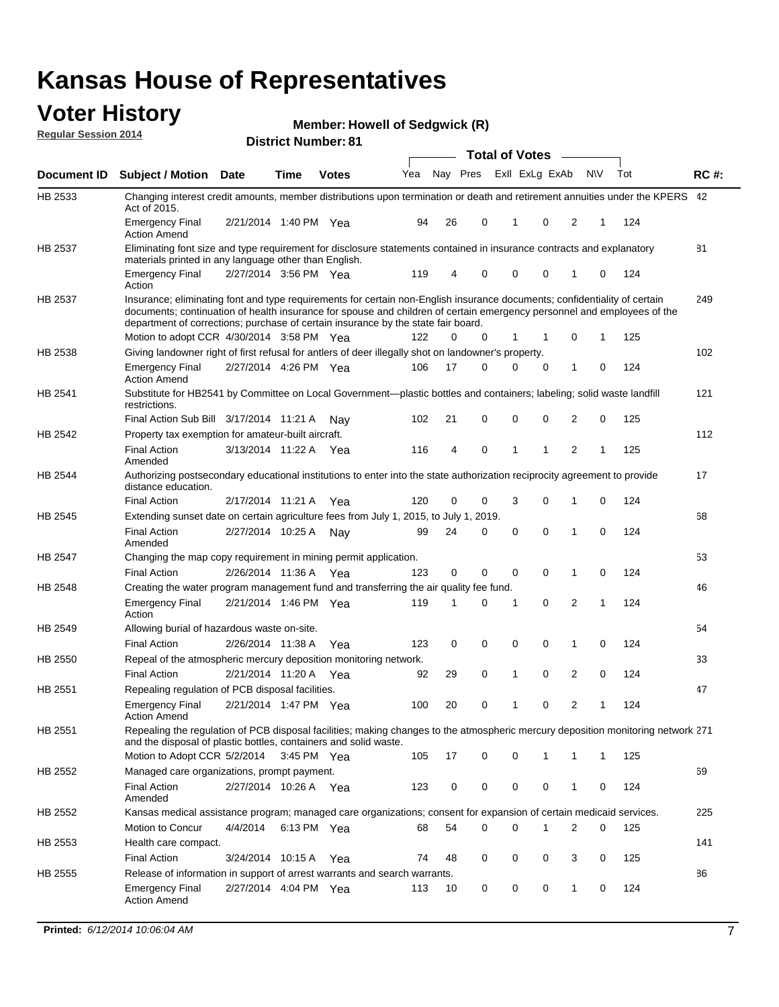#### **Voter History Regular Session 2014**

|  |  | <b>Member: Howell of Sedgwick (R)</b> |  |
|--|--|---------------------------------------|--|
|--|--|---------------------------------------|--|

|                    |                                                                                                                                                                                                                                                                                                                                           |                       |             | <b>DISTRICT MAILINGL. 01</b> |     |    |             | <b>Total of Votes</b> |              |                |                |             |     |             |
|--------------------|-------------------------------------------------------------------------------------------------------------------------------------------------------------------------------------------------------------------------------------------------------------------------------------------------------------------------------------------|-----------------------|-------------|------------------------------|-----|----|-------------|-----------------------|--------------|----------------|----------------|-------------|-----|-------------|
| <b>Document ID</b> | <b>Subject / Motion Date</b>                                                                                                                                                                                                                                                                                                              |                       | Time        | <b>Votes</b>                 | Yea |    | Nay Pres    |                       |              | Exll ExLg ExAb | <b>NV</b>      |             | Tot | <b>RC#:</b> |
| HB 2533            | Changing interest credit amounts, member distributions upon termination or death and retirement annuities under the KPERS 42<br>Act of 2015.                                                                                                                                                                                              |                       |             |                              |     |    |             |                       |              |                |                |             |     |             |
|                    | <b>Emergency Final</b><br><b>Action Amend</b>                                                                                                                                                                                                                                                                                             | 2/21/2014 1:40 PM Yea |             |                              | 94  | 26 | 0           |                       | 1            | 0              | 2              | 1           | 124 |             |
| HB 2537            | Eliminating font size and type requirement for disclosure statements contained in insurance contracts and explanatory<br>materials printed in any language other than English.                                                                                                                                                            |                       |             |                              |     |    |             |                       |              |                |                |             |     | 81          |
|                    | <b>Emergency Final</b><br>Action                                                                                                                                                                                                                                                                                                          | 2/27/2014 3:56 PM Yea |             |                              | 119 | 4  | 0           |                       | 0            | 0              | 1              | 0           | 124 |             |
| HB 2537            | Insurance; eliminating font and type requirements for certain non-English insurance documents; confidentiality of certain<br>documents; continuation of health insurance for spouse and children of certain emergency personnel and employees of the<br>department of corrections; purchase of certain insurance by the state fair board. |                       |             |                              |     |    |             |                       |              |                |                |             |     | 249         |
|                    | Motion to adopt CCR 4/30/2014 3:58 PM Yea                                                                                                                                                                                                                                                                                                 |                       |             |                              | 122 | 0  | 0           |                       | 1            | 1              | 0              | 1           | 125 |             |
| HB 2538            | Giving landowner right of first refusal for antlers of deer illegally shot on landowner's property.                                                                                                                                                                                                                                       |                       |             |                              |     |    |             |                       |              |                |                |             |     | 102         |
|                    | <b>Emergency Final</b><br><b>Action Amend</b>                                                                                                                                                                                                                                                                                             | 2/27/2014 4:26 PM Yea |             |                              | 106 | 17 | 0           |                       | 0            | 0              | 1              | 0           | 124 |             |
| HB 2541            | Substitute for HB2541 by Committee on Local Government—plastic bottles and containers; labeling; solid waste landfill<br>restrictions.                                                                                                                                                                                                    |                       |             |                              |     |    |             |                       |              |                |                |             |     | 121         |
|                    | Final Action Sub Bill 3/17/2014 11:21 A                                                                                                                                                                                                                                                                                                   |                       |             | Nav                          | 102 | 21 | 0           |                       | $\mathbf 0$  | 0              | 2              | 0           | 125 |             |
| HB 2542            | Property tax exemption for amateur-built aircraft.                                                                                                                                                                                                                                                                                        |                       |             |                              |     |    |             |                       |              |                |                |             |     | 112         |
|                    | <b>Final Action</b><br>Amended                                                                                                                                                                                                                                                                                                            | 3/13/2014 11:22 A Yea |             |                              | 116 | 4  | $\mathbf 0$ |                       | $\mathbf{1}$ | 1              | 2              | 1           | 125 |             |
| <b>HB 2544</b>     | Authorizing postsecondary educational institutions to enter into the state authorization reciprocity agreement to provide<br>distance education.                                                                                                                                                                                          |                       |             |                              |     |    |             |                       |              |                |                |             |     | 17          |
|                    | <b>Final Action</b>                                                                                                                                                                                                                                                                                                                       | 2/17/2014 11:21 A Yea |             |                              | 120 | 0  | 0           |                       | 3            | $\Omega$       | 1              | 0           | 124 |             |
| HB 2545            | Extending sunset date on certain agriculture fees from July 1, 2015, to July 1, 2019.                                                                                                                                                                                                                                                     |                       |             |                              |     |    |             |                       |              |                |                |             |     | 68          |
|                    | <b>Final Action</b><br>Amended                                                                                                                                                                                                                                                                                                            | 2/27/2014 10:25 A     |             | Nav                          | 99  | 24 | 0           |                       | 0            | $\Omega$       | 1              | $\Omega$    | 124 |             |
| HB 2547            | Changing the map copy requirement in mining permit application.                                                                                                                                                                                                                                                                           |                       |             |                              |     |    |             |                       |              |                |                |             |     | 53          |
|                    | <b>Final Action</b>                                                                                                                                                                                                                                                                                                                       | 2/26/2014 11:36 A Yea |             |                              | 123 | 0  | 0           |                       | $\mathbf 0$  | 0              | 1              | 0           | 124 |             |
| HB 2548            | Creating the water program management fund and transferring the air quality fee fund.                                                                                                                                                                                                                                                     |                       |             |                              |     |    |             |                       |              |                |                |             |     | 46          |
|                    | <b>Emergency Final</b><br>Action                                                                                                                                                                                                                                                                                                          | 2/21/2014 1:46 PM Yea |             |                              | 119 | 1  | 0           |                       | 1            | $\mathbf 0$    | 2              | 1           | 124 |             |
| HB 2549            | Allowing burial of hazardous waste on-site.                                                                                                                                                                                                                                                                                               |                       |             |                              |     |    |             |                       |              |                |                |             |     | 54          |
|                    | <b>Final Action</b>                                                                                                                                                                                                                                                                                                                       | 2/26/2014 11:38 A Yea |             |                              | 123 | 0  | 0           |                       | 0            | 0              | 1              | 0           | 124 |             |
| HB 2550            | Repeal of the atmospheric mercury deposition monitoring network.                                                                                                                                                                                                                                                                          |                       |             |                              |     |    |             |                       |              |                |                |             |     | 33          |
|                    | <b>Final Action</b>                                                                                                                                                                                                                                                                                                                       | 2/21/2014 11:20 A Yea |             |                              | 92  | 29 | 0           |                       | $\mathbf{1}$ | 0              | 2              | $\mathbf 0$ | 124 |             |
| HB 2551            | Repealing regulation of PCB disposal facilities.                                                                                                                                                                                                                                                                                          |                       |             |                              |     |    |             |                       |              |                |                |             |     | 47          |
|                    | <b>Emergency Final</b><br><b>Action Amend</b>                                                                                                                                                                                                                                                                                             | 2/21/2014 1:47 PM Yea |             |                              | 100 | 20 | 0           |                       | 1            | 0              | 2              | 1           | 124 |             |
| HB 2551            | Repealing the regulation of PCB disposal facilities; making changes to the atmospheric mercury deposition monitoring network 271<br>and the disposal of plastic bottles, containers and solid waste.                                                                                                                                      |                       |             |                              |     |    |             |                       |              |                |                |             |     |             |
|                    | Motion to Adopt CCR 5/2/2014 3:45 PM Yea                                                                                                                                                                                                                                                                                                  |                       |             |                              | 105 | 17 | 0           |                       | 0            | 1              | 1              | 1           | 125 |             |
| HB 2552            | Managed care organizations, prompt payment.                                                                                                                                                                                                                                                                                               |                       |             |                              |     |    |             |                       |              |                |                |             |     | 69          |
|                    | <b>Final Action</b><br>Amended                                                                                                                                                                                                                                                                                                            | 2/27/2014 10:26 A Yea |             |                              | 123 | 0  | 0           |                       | 0            | 0              | 1              | 0           | 124 |             |
| HB 2552            | Kansas medical assistance program; managed care organizations; consent for expansion of certain medicaid services.                                                                                                                                                                                                                        |                       |             |                              |     |    |             |                       |              |                |                |             |     | 225         |
|                    | Motion to Concur                                                                                                                                                                                                                                                                                                                          | 4/4/2014              | 6:13 PM Yea |                              | 68  | 54 | 0           |                       | $\Omega$     | 1              | $\overline{2}$ | 0           | 125 |             |
| HB 2553            | Health care compact.                                                                                                                                                                                                                                                                                                                      |                       |             |                              |     |    |             |                       |              |                |                |             |     | 141         |
|                    | <b>Final Action</b>                                                                                                                                                                                                                                                                                                                       | 3/24/2014 10:15 A Yea |             |                              | 74  | 48 | 0           |                       | 0            | 0              | 3              | 0           | 125 |             |
| HB 2555            | Release of information in support of arrest warrants and search warrants.                                                                                                                                                                                                                                                                 |                       |             |                              |     |    |             |                       |              |                |                |             |     | 86          |
|                    | <b>Emergency Final</b><br><b>Action Amend</b>                                                                                                                                                                                                                                                                                             | 2/27/2014 4:04 PM Yea |             |                              | 113 | 10 | 0           |                       | 0            | 0              | 1              | 0           | 124 |             |
|                    |                                                                                                                                                                                                                                                                                                                                           |                       |             |                              |     |    |             |                       |              |                |                |             |     |             |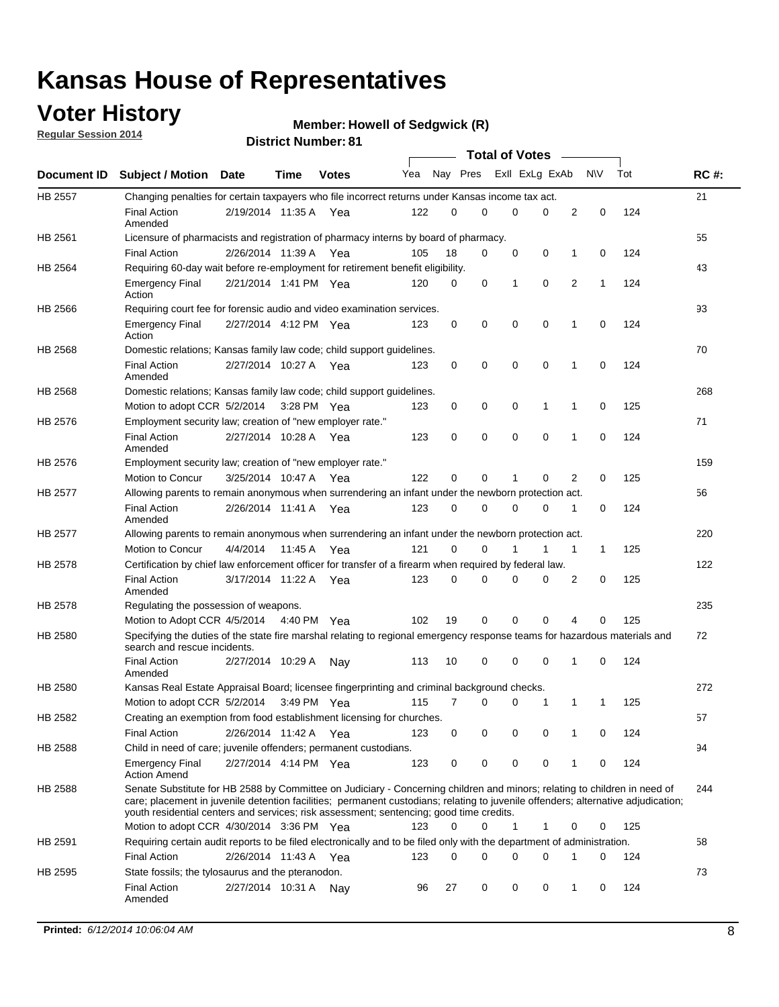### **Voter History**

**Regular Session 2014**

#### **Member: Howell of Sedgwick (R)**

|                |                                                                                                                                                                                                                                                                                                                                                           |                       |             |              |     |          |   | <b>Total of Votes</b> |             |              |              |     |             |
|----------------|-----------------------------------------------------------------------------------------------------------------------------------------------------------------------------------------------------------------------------------------------------------------------------------------------------------------------------------------------------------|-----------------------|-------------|--------------|-----|----------|---|-----------------------|-------------|--------------|--------------|-----|-------------|
|                | Document ID Subject / Motion Date                                                                                                                                                                                                                                                                                                                         |                       | Time        | <b>Votes</b> | Yea | Nay Pres |   | Exil ExLg ExAb        |             |              | <b>NV</b>    | Tot | <b>RC#:</b> |
| <b>HB 2557</b> | Changing penalties for certain taxpayers who file incorrect returns under Kansas income tax act.                                                                                                                                                                                                                                                          |                       |             |              |     |          |   |                       |             |              |              |     | 21          |
|                | <b>Final Action</b><br>Amended                                                                                                                                                                                                                                                                                                                            | 2/19/2014 11:35 A     |             | Yea          | 122 | 0        | 0 | 0                     | 0           | 2            | 0            | 124 |             |
| HB 2561        | Licensure of pharmacists and registration of pharmacy interns by board of pharmacy.                                                                                                                                                                                                                                                                       |                       |             |              |     |          |   |                       |             |              |              |     | 55          |
|                | <b>Final Action</b>                                                                                                                                                                                                                                                                                                                                       | 2/26/2014 11:39 A Yea |             |              | 105 | 18       | 0 | 0                     | 0           | 1            | 0            | 124 |             |
| HB 2564        | Requiring 60-day wait before re-employment for retirement benefit eligibility.                                                                                                                                                                                                                                                                            |                       |             |              |     |          |   |                       |             |              |              |     | 43          |
|                | <b>Emergency Final</b><br>Action                                                                                                                                                                                                                                                                                                                          | 2/21/2014 1:41 PM Yea |             |              | 120 | 0        | 0 | 1                     | 0           | 2            | 1            | 124 |             |
| HB 2566        | Requiring court fee for forensic audio and video examination services.                                                                                                                                                                                                                                                                                    |                       |             |              |     |          |   |                       |             |              |              |     | 93          |
|                | <b>Emergency Final</b><br>Action                                                                                                                                                                                                                                                                                                                          | 2/27/2014 4:12 PM Yea |             |              | 123 | 0        | 0 | 0                     | $\mathbf 0$ | 1            | $\mathbf 0$  | 124 |             |
| HB 2568        | Domestic relations; Kansas family law code; child support guidelines.                                                                                                                                                                                                                                                                                     |                       |             |              |     |          |   |                       |             |              |              |     | 70          |
|                | <b>Final Action</b><br>Amended                                                                                                                                                                                                                                                                                                                            | 2/27/2014 10:27 A     |             | Yea          | 123 | 0        | 0 | 0                     | 0           | 1            | 0            | 124 |             |
| HB 2568        | Domestic relations; Kansas family law code; child support guidelines.                                                                                                                                                                                                                                                                                     |                       |             |              |     |          |   |                       |             |              |              |     | 268         |
|                | Motion to adopt CCR 5/2/2014                                                                                                                                                                                                                                                                                                                              |                       | 3:28 PM Yea |              | 123 | 0        | 0 | 0                     | 1           | 1            | 0            | 125 |             |
| HB 2576        | Employment security law; creation of "new employer rate."                                                                                                                                                                                                                                                                                                 |                       |             |              |     |          |   |                       |             |              |              |     | 71          |
|                | <b>Final Action</b><br>Amended                                                                                                                                                                                                                                                                                                                            | 2/27/2014 10:28 A     |             | Yea          | 123 | 0        | 0 | 0                     | $\mathbf 0$ | 1            | 0            | 124 |             |
| HB 2576        | Employment security law; creation of "new employer rate."                                                                                                                                                                                                                                                                                                 |                       |             |              |     |          |   |                       |             |              |              |     | 159         |
|                | Motion to Concur                                                                                                                                                                                                                                                                                                                                          | 3/25/2014 10:47 A     |             | Yea          | 122 | 0        | 0 | 1                     | 0           | 2            | 0            | 125 |             |
| HB 2577        | Allowing parents to remain anonymous when surrendering an infant under the newborn protection act.                                                                                                                                                                                                                                                        |                       |             |              |     |          |   |                       |             |              |              |     | 56          |
|                | <b>Final Action</b><br>Amended                                                                                                                                                                                                                                                                                                                            | 2/26/2014 11:41 A Yea |             |              | 123 | 0        | 0 | 0                     | $\Omega$    | 1            | 0            | 124 |             |
| HB 2577        | Allowing parents to remain anonymous when surrendering an infant under the newborn protection act.                                                                                                                                                                                                                                                        |                       |             |              |     |          |   |                       |             |              |              |     | 220         |
|                | Motion to Concur                                                                                                                                                                                                                                                                                                                                          | 4/4/2014              | 11:45 A     | Yea          | 121 | $\Omega$ | 0 |                       | 1           | $\mathbf{1}$ | $\mathbf{1}$ | 125 |             |
| HB 2578        | Certification by chief law enforcement officer for transfer of a firearm when required by federal law.                                                                                                                                                                                                                                                    |                       |             |              |     |          |   |                       |             |              |              |     | 122         |
|                | <b>Final Action</b><br>Amended                                                                                                                                                                                                                                                                                                                            | 3/17/2014 11:22 A     |             | Yea          | 123 | 0        | 0 | 0                     | $\Omega$    | 2            | 0            | 125 |             |
| HB 2578        | Regulating the possession of weapons.                                                                                                                                                                                                                                                                                                                     |                       |             |              |     |          |   |                       |             |              |              |     | 235         |
|                | Motion to Adopt CCR 4/5/2014 4:40 PM Yea                                                                                                                                                                                                                                                                                                                  |                       |             |              | 102 | 19       | 0 | 0                     | 0           | 4            | $\Omega$     | 125 |             |
| HB 2580        | Specifying the duties of the state fire marshal relating to regional emergency response teams for hazardous materials and<br>search and rescue incidents.                                                                                                                                                                                                 |                       |             |              |     |          |   |                       |             |              |              |     | 72          |
|                | <b>Final Action</b><br>Amended                                                                                                                                                                                                                                                                                                                            | 2/27/2014 10:29 A     |             | Nav          | 113 | 10       | 0 | 0                     | 0           | 1            | 0            | 124 |             |
| HB 2580        | Kansas Real Estate Appraisal Board; licensee fingerprinting and criminal background checks.                                                                                                                                                                                                                                                               |                       |             |              |     |          |   |                       |             |              |              |     | 272         |
|                | Motion to adopt CCR 5/2/2014                                                                                                                                                                                                                                                                                                                              |                       |             | 3:49 PM Yea  | 115 | 7        | 0 | 0                     | 1           | 1            | -1           | 125 |             |
| HB 2582        | Creating an exemption from food establishment licensing for churches.                                                                                                                                                                                                                                                                                     |                       |             |              |     |          |   |                       |             |              |              |     | 57          |
|                | <b>Final Action</b>                                                                                                                                                                                                                                                                                                                                       | 2/26/2014 11:42 A Yea |             |              | 123 | 0        | 0 | 0                     | 0           | 1            | 0            | 124 |             |
| HB 2588        | Child in need of care; juvenile offenders; permanent custodians.                                                                                                                                                                                                                                                                                          |                       |             |              |     |          |   |                       |             |              |              |     | 94          |
|                | <b>Emergency Final</b><br><b>Action Amend</b>                                                                                                                                                                                                                                                                                                             | 2/27/2014 4:14 PM Yea |             |              | 123 | 0        | 0 | 0                     | 0           | 1            | 0            | 124 |             |
| HB 2588        | Senate Substitute for HB 2588 by Committee on Judiciary - Concerning children and minors; relating to children in need of<br>care; placement in juvenile detention facilities; permanent custodians; relating to juvenile offenders; alternative adjudication;<br>youth residential centers and services; risk assessment; sentencing; good time credits. |                       |             |              |     |          |   |                       |             |              |              |     | 244         |
|                | Motion to adopt CCR 4/30/2014 3:36 PM Yea                                                                                                                                                                                                                                                                                                                 |                       |             |              | 123 | 0        | 0 | 1                     | 1           | 0            | 0            | 125 |             |
| HB 2591        | Requiring certain audit reports to be filed electronically and to be filed only with the department of administration.                                                                                                                                                                                                                                    |                       |             |              |     |          |   |                       |             |              |              |     | 58          |
|                | <b>Final Action</b>                                                                                                                                                                                                                                                                                                                                       | 2/26/2014 11:43 A Yea |             |              | 123 | 0        | 0 | 0                     | 0           | 1            | 0            | 124 |             |
| HB 2595        | State fossils; the tylosaurus and the pteranodon.                                                                                                                                                                                                                                                                                                         |                       |             |              |     |          |   |                       |             |              |              |     | 73          |
|                | <b>Final Action</b><br>Amended                                                                                                                                                                                                                                                                                                                            | 2/27/2014 10:31 A Nay |             |              | 96  | 27       | 0 | 0                     | 0           | 1            | 0            | 124 |             |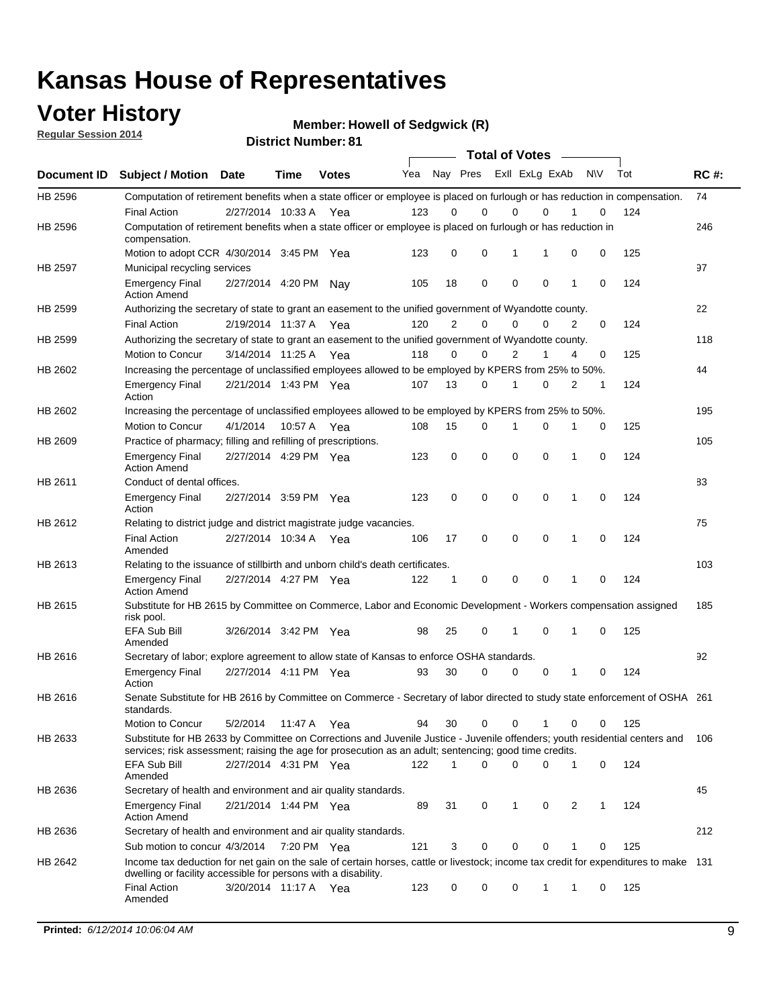### **Voter History**

**Regular Session 2014**

**Member: Howell of Sedgwick (R)** 

|  | <b>District Number: 81</b> |  |
|--|----------------------------|--|
|--|----------------------------|--|

|             |                                                                                                                                                                                                                                       | <b>Total of Votes</b> |             |              |     |             |                         |             |             |              |           |     |             |
|-------------|---------------------------------------------------------------------------------------------------------------------------------------------------------------------------------------------------------------------------------------|-----------------------|-------------|--------------|-----|-------------|-------------------------|-------------|-------------|--------------|-----------|-----|-------------|
| Document ID | <b>Subject / Motion Date</b>                                                                                                                                                                                                          |                       | Time        | <b>Votes</b> | Yea |             | Nay Pres Exll ExLg ExAb |             |             |              | <b>NV</b> | Tot | <b>RC#:</b> |
| HB 2596     | Computation of retirement benefits when a state officer or employee is placed on furlough or has reduction in compensation.                                                                                                           |                       |             |              |     |             |                         |             |             |              |           |     | 74          |
|             | <b>Final Action</b>                                                                                                                                                                                                                   | 2/27/2014 10:33 A     |             | Yea          | 123 | 0           | 0                       | $\mathbf 0$ | $\Omega$    |              | 0         | 124 |             |
| HB 2596     | Computation of retirement benefits when a state officer or employee is placed on furlough or has reduction in<br>compensation.                                                                                                        |                       |             |              |     |             |                         |             |             |              |           |     | 246         |
|             | Motion to adopt CCR 4/30/2014 3:45 PM Yea                                                                                                                                                                                             |                       |             |              | 123 | 0           | 0                       | 1           | 1           | 0            | 0         | 125 |             |
| HB 2597     | Municipal recycling services                                                                                                                                                                                                          |                       |             |              |     |             |                         |             |             |              |           |     | 97          |
|             | <b>Emergency Final</b><br><b>Action Amend</b>                                                                                                                                                                                         | 2/27/2014 4:20 PM Nay |             |              | 105 | 18          | 0                       | $\mathbf 0$ | 0           | $\mathbf{1}$ | 0         | 124 |             |
| HB 2599     | Authorizing the secretary of state to grant an easement to the unified government of Wyandotte county.                                                                                                                                |                       |             |              |     |             |                         |             |             |              |           |     | 22          |
|             | <b>Final Action</b>                                                                                                                                                                                                                   | 2/19/2014 11:37 A     |             | Yea          | 120 | 2           | 0                       | 0           | $\mathbf 0$ | 2            | 0         | 124 |             |
| HB 2599     | Authorizing the secretary of state to grant an easement to the unified government of Wyandotte county.                                                                                                                                |                       |             |              |     |             |                         |             |             |              |           |     | 118         |
|             | Motion to Concur                                                                                                                                                                                                                      | 3/14/2014 11:25 A     |             | Yea          | 118 | 0           | 0                       | 2           | 1           | 4            | 0         | 125 |             |
| HB 2602     | Increasing the percentage of unclassified employees allowed to be employed by KPERS from 25% to 50%.                                                                                                                                  |                       |             |              |     |             |                         |             |             |              |           |     | 44          |
|             | <b>Emergency Final</b><br>Action                                                                                                                                                                                                      | 2/21/2014 1:43 PM Yea |             |              | 107 | 13          | 0                       | 1           | 0           | 2            | 1         | 124 |             |
| HB 2602     | Increasing the percentage of unclassified employees allowed to be employed by KPERS from 25% to 50%.                                                                                                                                  |                       |             |              |     |             |                         |             |             |              |           |     | 195         |
|             | Motion to Concur                                                                                                                                                                                                                      | 4/1/2014              | 10:57 A     | Yea          | 108 | 15          | 0                       | 1           | $\mathbf 0$ | 1            | 0         | 125 |             |
| HB 2609     | Practice of pharmacy; filling and refilling of prescriptions.                                                                                                                                                                         |                       |             |              |     |             |                         |             |             |              |           |     | 105         |
|             | <b>Emergency Final</b><br><b>Action Amend</b>                                                                                                                                                                                         | 2/27/2014 4:29 PM Yea |             |              | 123 | $\mathbf 0$ | $\mathbf 0$             | $\mathbf 0$ | $\mathbf 0$ | 1            | $\Omega$  | 124 |             |
| HB 2611     | Conduct of dental offices.                                                                                                                                                                                                            |                       |             |              |     |             |                         |             |             |              |           |     | 83          |
|             | <b>Emergency Final</b><br>Action                                                                                                                                                                                                      | 2/27/2014 3:59 PM Yea |             |              | 123 | 0           | 0                       | $\mathbf 0$ | $\mathbf 0$ | 1            | 0         | 124 |             |
| HB 2612     | Relating to district judge and district magistrate judge vacancies.                                                                                                                                                                   |                       |             |              |     |             |                         |             |             |              |           |     | 75          |
|             | <b>Final Action</b><br>Amended                                                                                                                                                                                                        | 2/27/2014 10:34 A     |             | Yea          | 106 | 17          | 0                       | $\mathbf 0$ | $\mathbf 0$ | 1            | 0         | 124 |             |
| HB 2613     | Relating to the issuance of stillbirth and unborn child's death certificates.                                                                                                                                                         |                       |             |              |     |             |                         |             |             |              |           |     | 103         |
|             | <b>Emergency Final</b><br><b>Action Amend</b>                                                                                                                                                                                         | 2/27/2014 4:27 PM Yea |             |              | 122 | $\mathbf 1$ | 0                       | $\mathbf 0$ | 0           | 1            | 0         | 124 |             |
| HB 2615     | Substitute for HB 2615 by Committee on Commerce, Labor and Economic Development - Workers compensation assigned<br>risk pool.                                                                                                         |                       |             |              |     |             |                         |             |             |              |           |     | 185         |
|             | EFA Sub Bill<br>Amended                                                                                                                                                                                                               | 3/26/2014 3:42 PM Yea |             |              | 98  | 25          | 0                       | 1           | 0           | 1            | 0         | 125 |             |
| HB 2616     | Secretary of labor; explore agreement to allow state of Kansas to enforce OSHA standards.                                                                                                                                             |                       |             |              |     |             |                         |             |             |              |           |     | 92          |
|             | <b>Emergency Final</b><br>Action                                                                                                                                                                                                      | 2/27/2014 4:11 PM Yea |             |              | 93  | 30          | $\Omega$                | $\mathbf 0$ | 0           | 1            | 0         | 124 |             |
| HB 2616     | Senate Substitute for HB 2616 by Committee on Commerce - Secretary of labor directed to study state enforcement of OSHA 261<br>standards.                                                                                             |                       |             |              |     |             |                         |             |             |              |           |     |             |
|             | Motion to Concur                                                                                                                                                                                                                      | 5/2/2014 11:47 A      |             | Yea          | 94  | 30          | 0                       | $\mathbf 0$ | 1           | 0            | 0         | 125 |             |
| HB 2633     | Substitute for HB 2633 by Committee on Corrections and Juvenile Justice - Juvenile offenders; youth residential centers and<br>services; risk assessment; raising the age for prosecution as an adult; sentencing; good time credits. |                       |             |              |     |             |                         |             |             |              |           |     | - 106       |
|             | <b>EFA Sub Bill</b><br>Amended                                                                                                                                                                                                        | 2/27/2014 4:31 PM Yea |             |              | 122 | 1           | 0                       | 0           | 0           | 1            | 0         | 124 |             |
| HB 2636     | Secretary of health and environment and air quality standards.                                                                                                                                                                        |                       |             |              |     |             |                         |             |             |              |           |     | 45          |
|             | <b>Emergency Final</b><br><b>Action Amend</b>                                                                                                                                                                                         | 2/21/2014 1:44 PM Yea |             |              | 89  | 31          | 0                       | 1           | 0           | 2            |           | 124 |             |
| HB 2636     | Secretary of health and environment and air quality standards.                                                                                                                                                                        |                       |             |              |     |             |                         |             |             |              |           |     | 212         |
|             | Sub motion to concur 4/3/2014                                                                                                                                                                                                         |                       | 7:20 PM Yea |              | 121 | 3           | 0                       | 0           | 0           | 1            | 0         | 125 |             |
| HB 2642     | Income tax deduction for net gain on the sale of certain horses, cattle or livestock; income tax credit for expenditures to make 131<br>dwelling or facility accessible for persons with a disability.                                |                       |             |              |     |             |                         |             |             |              |           |     |             |
|             | <b>Final Action</b><br>Amended                                                                                                                                                                                                        | 3/20/2014 11:17 A Yea |             |              | 123 | 0           | 0                       | 0           | 1           | 1            | 0         | 125 |             |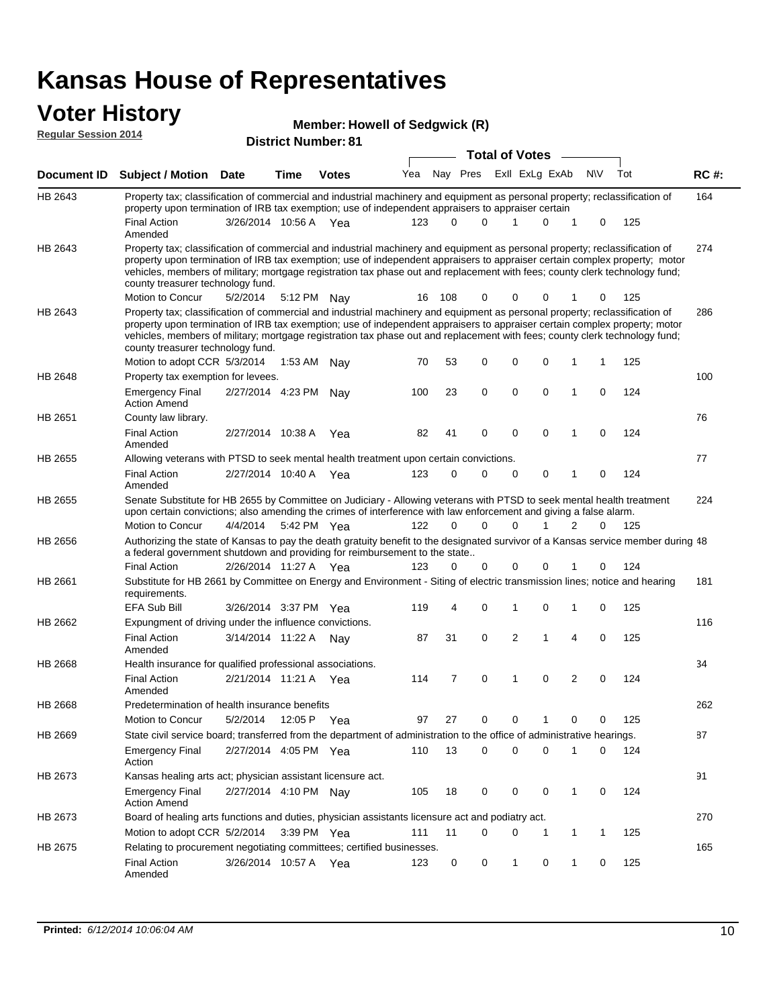#### **Voter History Regular Session 2014**

|  | <b>Member: Howell of Sedgwick (R)</b> |  |
|--|---------------------------------------|--|
|  |                                       |  |

|             | <b>District Number: 81</b><br><b>Total of Votes</b>                                                                                                                                                                                                                                                                                                                                                                                                           |                       |             |              |     |          |                         |              |                |             |                |           |     |             |
|-------------|---------------------------------------------------------------------------------------------------------------------------------------------------------------------------------------------------------------------------------------------------------------------------------------------------------------------------------------------------------------------------------------------------------------------------------------------------------------|-----------------------|-------------|--------------|-----|----------|-------------------------|--------------|----------------|-------------|----------------|-----------|-----|-------------|
|             |                                                                                                                                                                                                                                                                                                                                                                                                                                                               |                       |             |              |     |          |                         |              |                |             |                |           |     |             |
| Document ID | <b>Subject / Motion Date</b>                                                                                                                                                                                                                                                                                                                                                                                                                                  |                       | <b>Time</b> | <b>Votes</b> | Yea |          | Nay Pres ExII ExLg ExAb |              |                |             |                | <b>NV</b> | Tot | <b>RC#:</b> |
| HB 2643     | Property tax; classification of commercial and industrial machinery and equipment as personal property; reclassification of<br>property upon termination of IRB tax exemption; use of independent appraisers to appraiser certain                                                                                                                                                                                                                             |                       |             |              |     |          |                         |              |                |             |                |           |     | 164         |
|             | <b>Final Action</b><br>Amended                                                                                                                                                                                                                                                                                                                                                                                                                                | 3/26/2014 10:56 A Yea |             |              | 123 | $\Omega$ | $\Omega$                |              |                | $\Omega$    | 1              | 0         | 125 |             |
| HB 2643     | Property tax; classification of commercial and industrial machinery and equipment as personal property; reclassification of<br>property upon termination of IRB tax exemption; use of independent appraisers to appraiser certain complex property; motor<br>vehicles, members of military; mortgage registration tax phase out and replacement with fees; county clerk technology fund;<br>county treasurer technology fund.                                 |                       |             |              |     |          |                         |              |                |             |                |           |     | 274         |
|             | Motion to Concur                                                                                                                                                                                                                                                                                                                                                                                                                                              | 5/2/2014              |             | 5:12 PM Nay  | 16  | 108      | $\Omega$                |              | $\mathbf 0$    | 0           |                | 0         | 125 |             |
| HB 2643     | Property tax; classification of commercial and industrial machinery and equipment as personal property; reclassification of<br>property upon termination of IRB tax exemption; use of independent appraisers to appraiser certain complex property; motor<br>vehicles, members of military; mortgage registration tax phase out and replacement with fees; county clerk technology fund;<br>county treasurer technology fund.<br>Motion to adopt CCR 5/3/2014 |                       |             |              |     | 53       | 0                       | $\mathbf 0$  |                | $\Omega$    | 1              | 1         | 125 | 286         |
|             |                                                                                                                                                                                                                                                                                                                                                                                                                                                               |                       |             | 1:53 AM Nay  | 70  |          |                         |              |                |             |                |           |     |             |
| HB 2648     | Property tax exemption for levees.<br><b>Emergency Final</b><br><b>Action Amend</b>                                                                                                                                                                                                                                                                                                                                                                           | 2/27/2014 4:23 PM Nay |             |              | 100 | 23       | 0                       | $\mathbf 0$  |                | $\Omega$    | 1              | 0         | 124 | 100         |
| HB 2651     | County law library.                                                                                                                                                                                                                                                                                                                                                                                                                                           |                       |             |              |     |          |                         |              |                |             |                |           |     | 76          |
|             | <b>Final Action</b><br>Amended                                                                                                                                                                                                                                                                                                                                                                                                                                | 2/27/2014 10:38 A     |             | Yea          | 82  | 41       | 0                       | $\mathbf 0$  |                | $\mathbf 0$ | 1              | 0         | 124 |             |
| HB 2655     | Allowing veterans with PTSD to seek mental health treatment upon certain convictions.                                                                                                                                                                                                                                                                                                                                                                         |                       |             |              |     |          |                         |              |                |             |                |           |     | 77          |
|             | <b>Final Action</b><br>Amended                                                                                                                                                                                                                                                                                                                                                                                                                                | 2/27/2014 10:40 A     |             | Yea          | 123 | 0        | 0                       | 0            |                | 0           | 1              | 0         | 124 |             |
| HB 2655     | Senate Substitute for HB 2655 by Committee on Judiciary - Allowing veterans with PTSD to seek mental health treatment<br>upon certain convictions; also amending the crimes of interference with law enforcement and giving a false alarm.                                                                                                                                                                                                                    |                       |             |              |     |          |                         |              |                |             |                |           |     | 224         |
|             | Motion to Concur                                                                                                                                                                                                                                                                                                                                                                                                                                              | 4/4/2014              |             | 5:42 PM Yea  | 122 | 0        | $\Omega$                | 0            |                | 1           | $\overline{2}$ | 0         | 125 |             |
| HB 2656     | Authorizing the state of Kansas to pay the death gratuity benefit to the designated survivor of a Kansas service member during 48<br>a federal government shutdown and providing for reimbursement to the state                                                                                                                                                                                                                                               |                       |             |              |     |          |                         |              |                |             |                |           |     |             |
|             | <b>Final Action</b>                                                                                                                                                                                                                                                                                                                                                                                                                                           | 2/26/2014 11:27 A     |             | Yea          | 123 | 0        | 0                       |              | $\mathbf 0$    | 0           | 1              | 0         | 124 |             |
| HB 2661     | Substitute for HB 2661 by Committee on Energy and Environment - Siting of electric transmission lines; notice and hearing<br>requirements.                                                                                                                                                                                                                                                                                                                    |                       |             |              |     |          |                         |              |                |             |                |           |     | 181         |
|             | <b>EFA Sub Bill</b>                                                                                                                                                                                                                                                                                                                                                                                                                                           | 3/26/2014 3:37 PM Yea |             |              | 119 | 4        | 0                       | 1            |                | 0           | 1              | 0         | 125 |             |
| HB 2662     | Expungment of driving under the influence convictions.                                                                                                                                                                                                                                                                                                                                                                                                        |                       |             |              |     |          |                         |              |                |             |                |           |     | 116         |
|             | <b>Final Action</b><br>Amended                                                                                                                                                                                                                                                                                                                                                                                                                                | 3/14/2014 11:22 A     |             | Nav          | 87  | 31       | 0                       |              | $\overline{2}$ | 1           | 4              | 0         | 125 |             |
| HB 2668     | Health insurance for qualified professional associations.                                                                                                                                                                                                                                                                                                                                                                                                     |                       |             |              |     |          |                         |              |                |             |                |           |     | 34          |
|             | <b>Final Action</b><br>Amended                                                                                                                                                                                                                                                                                                                                                                                                                                | 2/21/2014 11:21 A Yea |             |              | 114 | 7        | 0                       | 1            |                | $\Omega$    | 2              | 0         | 124 |             |
| HB 2668     | Predetermination of health insurance benefits                                                                                                                                                                                                                                                                                                                                                                                                                 |                       |             |              |     |          |                         |              |                |             |                |           |     | 262         |
|             | Motion to Concur                                                                                                                                                                                                                                                                                                                                                                                                                                              | 5/2/2014              |             | 12:05 P Yea  | 97  | 27       | 0                       |              | 0              |             | 0              | 0         | 125 |             |
| HB 2669     | State civil service board; transferred from the department of administration to the office of administrative hearings.                                                                                                                                                                                                                                                                                                                                        |                       |             |              |     |          |                         |              |                |             |                |           |     | 87          |
|             | <b>Emergency Final</b><br>Action                                                                                                                                                                                                                                                                                                                                                                                                                              | 2/27/2014 4:05 PM Yea |             |              | 110 | 13       | 0                       |              | $\mathbf 0$    | 0           |                | 0         | 124 |             |
| HB 2673     | Kansas healing arts act; physician assistant licensure act.                                                                                                                                                                                                                                                                                                                                                                                                   |                       |             |              |     |          |                         |              |                |             |                |           |     | 91          |
|             | <b>Emergency Final</b><br><b>Action Amend</b>                                                                                                                                                                                                                                                                                                                                                                                                                 | 2/27/2014 4:10 PM Nay |             |              | 105 | 18       | 0                       |              | 0              | 0           | 1              | 0         | 124 |             |
| HB 2673     | Board of healing arts functions and duties, physician assistants licensure act and podiatry act.                                                                                                                                                                                                                                                                                                                                                              |                       |             |              |     |          |                         |              |                |             |                |           |     | 270         |
|             | Motion to adopt CCR 5/2/2014 3:39 PM Yea                                                                                                                                                                                                                                                                                                                                                                                                                      |                       |             |              | 111 | 11       | 0                       |              | 0              | -1          | 1              | 1         | 125 |             |
| HB 2675     | Relating to procurement negotiating committees; certified businesses.                                                                                                                                                                                                                                                                                                                                                                                         |                       |             |              |     |          |                         |              |                |             |                |           |     | 165         |
|             | <b>Final Action</b><br>Amended                                                                                                                                                                                                                                                                                                                                                                                                                                | 3/26/2014 10:57 A Yea |             |              | 123 | 0        | 0                       | $\mathbf{1}$ |                | 0           | 1              | 0         | 125 |             |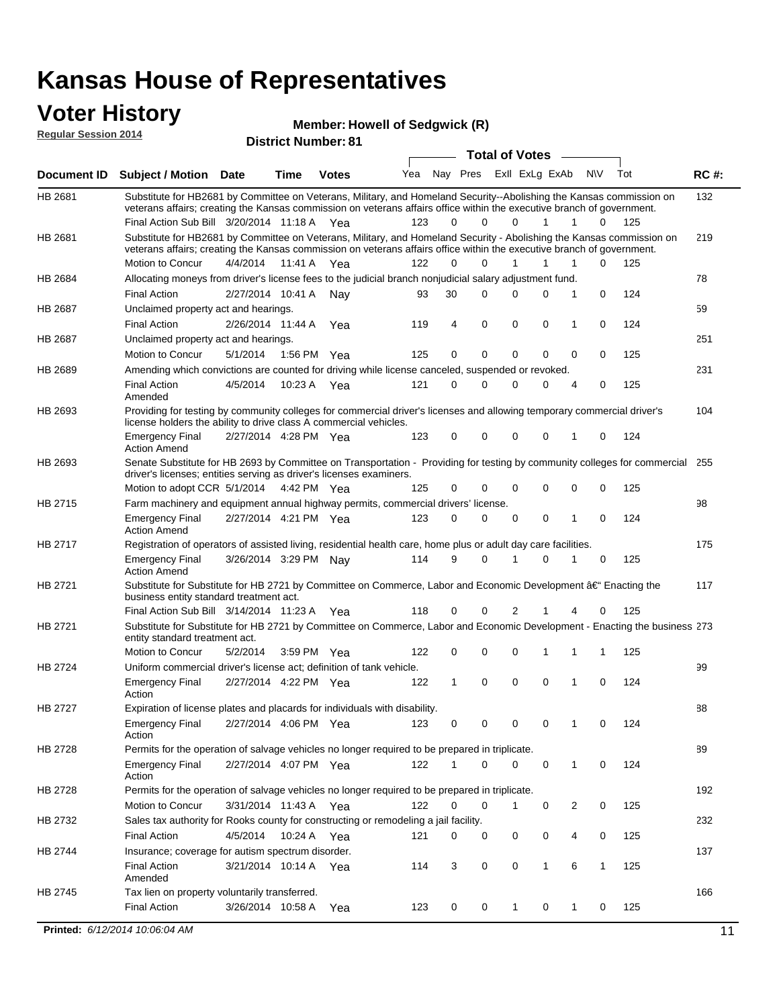### **Voter History**

**Regular Session 2014**

**Member: Howell of Sedgwick (R)** 

| noguidi ocoololi 4014 |                                                                                                                                                                                                                                                                                               |                       |             | <b>District Number: 81</b> |     |    |          |                         |              |   |              |     |             |
|-----------------------|-----------------------------------------------------------------------------------------------------------------------------------------------------------------------------------------------------------------------------------------------------------------------------------------------|-----------------------|-------------|----------------------------|-----|----|----------|-------------------------|--------------|---|--------------|-----|-------------|
|                       |                                                                                                                                                                                                                                                                                               |                       |             |                            |     |    |          | <b>Total of Votes</b>   |              |   |              |     |             |
| Document ID           | Subject / Motion Date                                                                                                                                                                                                                                                                         |                       | <b>Time</b> | <b>Votes</b>               | Yea |    |          | Nay Pres ExII ExLg ExAb |              |   | N\V          | Tot | <b>RC#:</b> |
| HB 2681               | Substitute for HB2681 by Committee on Veterans, Military, and Homeland Security--Abolishing the Kansas commission on<br>veterans affairs; creating the Kansas commission on veterans affairs office within the executive branch of government.<br>Final Action Sub Bill 3/20/2014 11:18 A Yea |                       |             |                            | 123 | 0  | $\Omega$ | $\Omega$                | 1            | 1 | $\Omega$     | 125 | 132         |
| HB 2681               | Substitute for HB2681 by Committee on Veterans, Military, and Homeland Security - Abolishing the Kansas commission on<br>veterans affairs; creating the Kansas commission on veterans affairs office within the executive branch of government.                                               |                       |             |                            |     |    |          |                         |              |   |              |     | 219         |
|                       | Motion to Concur                                                                                                                                                                                                                                                                              | 4/4/2014              | 11:41 A     | Yea                        | 122 | 0  | 0        | 1                       | 1            | 1 | 0            | 125 |             |
| HB 2684               | Allocating moneys from driver's license fees to the judicial branch nonjudicial salary adjustment fund.                                                                                                                                                                                       |                       |             |                            |     |    |          |                         |              |   |              |     | 78          |
|                       | <b>Final Action</b>                                                                                                                                                                                                                                                                           | 2/27/2014 10:41 A     |             | Nav                        | 93  | 30 | 0        | 0                       | 0            | 1 | $\mathbf 0$  | 124 |             |
| HB 2687               | Unclaimed property act and hearings.                                                                                                                                                                                                                                                          |                       |             |                            |     |    |          |                         |              |   |              |     | 59          |
|                       | <b>Final Action</b>                                                                                                                                                                                                                                                                           | 2/26/2014 11:44 A     |             | Yea                        | 119 | 4  | 0        | 0                       | $\mathbf 0$  | 1 | 0            | 124 |             |
| HB 2687               | Unclaimed property act and hearings.                                                                                                                                                                                                                                                          |                       |             |                            |     |    |          |                         |              |   |              |     | 251         |
|                       | Motion to Concur                                                                                                                                                                                                                                                                              | 5/1/2014              |             | 1:56 PM Yea                | 125 | 0  | 0        | 0                       | 0            | 0 | 0            | 125 |             |
| HB 2689               | Amending which convictions are counted for driving while license canceled, suspended or revoked.                                                                                                                                                                                              |                       |             |                            |     |    |          |                         |              |   |              |     | 231         |
|                       | <b>Final Action</b><br>Amended                                                                                                                                                                                                                                                                | 4/5/2014              | 10:23 A     | Yea                        | 121 | 0  | 0        | 0                       | 0            | 4 | 0            | 125 |             |
| HB 2693               | Providing for testing by community colleges for commercial driver's licenses and allowing temporary commercial driver's<br>license holders the ability to drive class A commercial vehicles.                                                                                                  |                       |             |                            |     |    |          |                         |              |   |              |     | 104         |
|                       | <b>Emergency Final</b><br><b>Action Amend</b>                                                                                                                                                                                                                                                 | 2/27/2014 4:28 PM Yea |             |                            | 123 | 0  | $\Omega$ | 0                       | 0            | 1 | 0            | 124 |             |
| HB 2693               | Senate Substitute for HB 2693 by Committee on Transportation - Providing for testing by community colleges for commercial 255<br>driver's licenses; entities serving as driver's licenses examiners.<br>Motion to adopt CCR 5/1/2014 4:42 PM Yea                                              |                       |             |                            | 125 | 0  | 0        | 0                       | 0            | 0 | 0            | 125 |             |
| HB 2715               | Farm machinery and equipment annual highway permits, commercial drivers' license.                                                                                                                                                                                                             |                       |             |                            |     |    |          |                         |              |   |              |     | 98          |
|                       | <b>Emergency Final</b><br><b>Action Amend</b>                                                                                                                                                                                                                                                 | 2/27/2014 4:21 PM Yea |             |                            | 123 | 0  | 0        | 0                       | 0            | 1 | 0            | 124 |             |
| HB 2717               | Registration of operators of assisted living, residential health care, home plus or adult day care facilities.                                                                                                                                                                                |                       |             |                            |     |    |          |                         |              |   |              |     | 175         |
|                       | <b>Emergency Final</b><br><b>Action Amend</b>                                                                                                                                                                                                                                                 | 3/26/2014 3:29 PM Nay |             |                            | 114 | 9  | 0        | 1                       | 0            | 1 | 0            | 125 |             |
| HB 2721               | Substitute for Substitute for HB 2721 by Committee on Commerce, Labor and Economic Development †Enacting the<br>business entity standard treatment act.                                                                                                                                       |                       |             |                            |     |    |          |                         |              |   |              |     | 117         |
|                       | Final Action Sub Bill 3/14/2014 11:23 A Yea                                                                                                                                                                                                                                                   |                       |             |                            | 118 | 0  | 0        | 2                       |              |   | 0            | 125 |             |
| HB 2721               | Substitute for Substitute for HB 2721 by Committee on Commerce, Labor and Economic Development - Enacting the business 273<br>entity standard treatment act.                                                                                                                                  |                       |             |                            |     |    |          |                         |              |   |              |     |             |
|                       | Motion to Concur                                                                                                                                                                                                                                                                              | 5/2/2014              |             | 3:59 PM Yea                | 122 | 0  | 0        | 0                       | 1            | 1 | 1            | 125 |             |
| HB 2724               | Uniform commercial driver's license act; definition of tank vehicle.<br><b>Emergency Final</b>                                                                                                                                                                                                | 2/27/2014 4:22 PM Yea |             |                            | 122 | 1  | 0        | 0                       | 0            | 1 | 0            | 124 | 99          |
|                       | Action                                                                                                                                                                                                                                                                                        |                       |             |                            |     |    |          |                         |              |   |              |     |             |
| HB 2727               | Expiration of license plates and placards for individuals with disability.<br><b>Emergency Final</b><br>Action                                                                                                                                                                                | 2/27/2014 4:06 PM Yea |             |                            | 123 | 0  | 0        | 0                       | 0            | 1 | 0            | 124 | 88          |
| HB 2728               | Permits for the operation of salvage vehicles no longer required to be prepared in triplicate.                                                                                                                                                                                                |                       |             |                            |     |    |          |                         |              |   |              |     | 89          |
|                       | <b>Emergency Final</b><br>Action                                                                                                                                                                                                                                                              | 2/27/2014 4:07 PM Yea |             |                            | 122 | 1  | 0        | 0                       | 0            | 1 | 0            | 124 |             |
| HB 2728               | Permits for the operation of salvage vehicles no longer required to be prepared in triplicate.                                                                                                                                                                                                |                       |             |                            |     |    |          |                         |              |   |              |     | 192         |
|                       | Motion to Concur                                                                                                                                                                                                                                                                              | 3/31/2014 11:43 A Yea |             |                            | 122 | 0  | 0        | 1                       | 0            | 2 | 0            | 125 |             |
| HB 2732               | Sales tax authority for Rooks county for constructing or remodeling a jail facility.                                                                                                                                                                                                          |                       |             |                            |     |    |          |                         |              |   |              |     | 232         |
|                       | <b>Final Action</b>                                                                                                                                                                                                                                                                           | 4/5/2014              |             | 10:24 A Yea                | 121 | 0  | 0        | 0                       | 0            | 4 | 0            | 125 |             |
| HB 2744               | Insurance; coverage for autism spectrum disorder.                                                                                                                                                                                                                                             |                       |             |                            |     |    |          |                         |              |   |              |     | 137         |
|                       | <b>Final Action</b><br>Amended                                                                                                                                                                                                                                                                | 3/21/2014 10:14 A Yea |             |                            | 114 | 3  | 0        | 0                       | $\mathbf{1}$ | 6 | $\mathbf{1}$ | 125 |             |
| HB 2745               | Tax lien on property voluntarily transferred.                                                                                                                                                                                                                                                 |                       |             |                            |     |    |          |                         |              |   |              |     | 166         |
|                       | <b>Final Action</b>                                                                                                                                                                                                                                                                           | 3/26/2014 10:58 A     |             | Yea                        | 123 | 0  | 0        | 1                       | 0            | 1 | 0            | 125 |             |
|                       | Printed: 6/12/2014 10:06:04 AM                                                                                                                                                                                                                                                                |                       |             |                            |     |    |          |                         |              |   |              |     | 11          |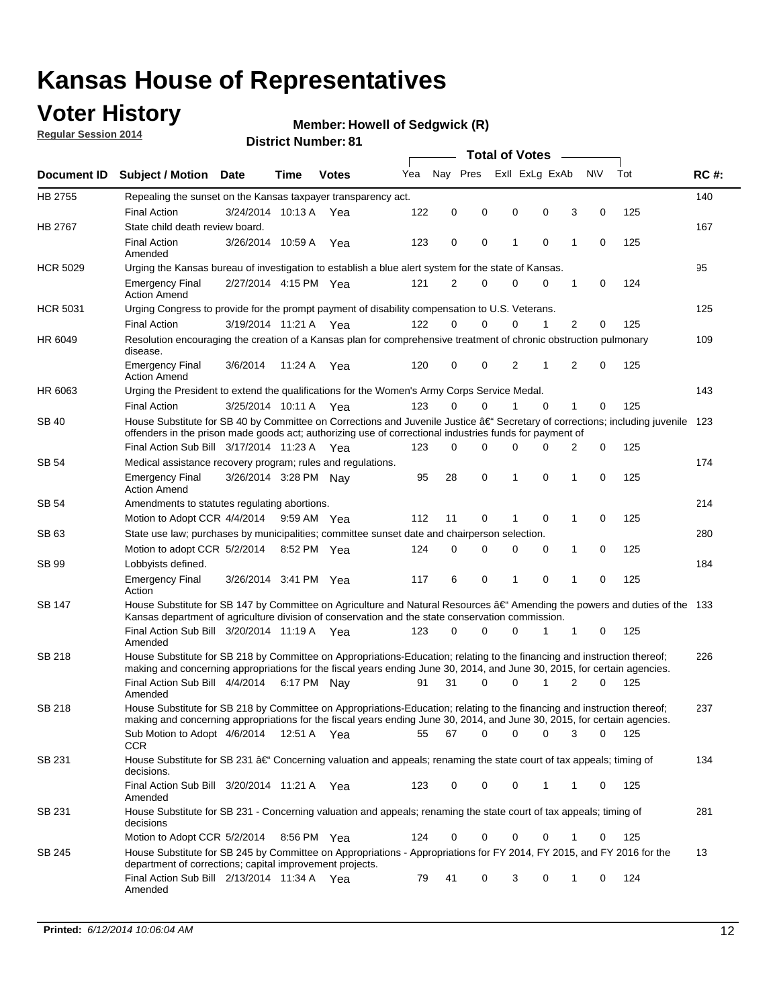### **Voter History**

**Regular Session 2014**

#### **Member: Howell of Sedgwick (R)**

|                 |                                                                                                                                                                                                                                                      | <b>Total of Votes</b> |             |              |     |             |          |   |                |           |             |       |             |
|-----------------|------------------------------------------------------------------------------------------------------------------------------------------------------------------------------------------------------------------------------------------------------|-----------------------|-------------|--------------|-----|-------------|----------|---|----------------|-----------|-------------|-------|-------------|
|                 | Document ID Subject / Motion Date                                                                                                                                                                                                                    |                       | Time        | <b>Votes</b> | Yea | Nav Pres    |          |   | Exll ExLg ExAb | <b>NV</b> |             | Tot   | <b>RC#:</b> |
| HB 2755         | Repealing the sunset on the Kansas taxpayer transparency act.                                                                                                                                                                                        |                       |             |              |     |             |          |   |                |           |             |       | 140         |
|                 | <b>Final Action</b>                                                                                                                                                                                                                                  | 3/24/2014 10:13 A     |             | Yea          | 122 | 0           | 0        | 0 | 0              | 3         | 0           | 125   |             |
| <b>HB 2767</b>  | State child death review board.                                                                                                                                                                                                                      |                       |             |              |     |             |          |   |                |           |             |       | 167         |
|                 | <b>Final Action</b><br>Amended                                                                                                                                                                                                                       | 3/26/2014 10:59 A     |             | Yea          | 123 | 0           | 0        | 1 | 0              | 1         | 0           | 125   |             |
| <b>HCR 5029</b> | Urging the Kansas bureau of investigation to establish a blue alert system for the state of Kansas.                                                                                                                                                  |                       |             |              |     |             |          |   |                |           |             |       | 95          |
|                 | <b>Emergency Final</b><br><b>Action Amend</b>                                                                                                                                                                                                        | 2/27/2014 4:15 PM Yea |             |              | 121 | 2           | 0        | 0 | 0              | 1         | 0           | 124   |             |
| <b>HCR 5031</b> | Urging Congress to provide for the prompt payment of disability compensation to U.S. Veterans.                                                                                                                                                       |                       |             |              |     |             |          |   |                |           |             |       | 125         |
|                 | <b>Final Action</b>                                                                                                                                                                                                                                  | 3/19/2014 11:21 A Yea |             |              | 122 | $\Omega$    | $\Omega$ | 0 | 1              | 2         | 0           | 125   |             |
| HR 6049         | Resolution encouraging the creation of a Kansas plan for comprehensive treatment of chronic obstruction pulmonary<br>disease.                                                                                                                        |                       |             |              |     |             |          |   |                |           |             |       | 109         |
|                 | <b>Emergency Final</b><br><b>Action Amend</b>                                                                                                                                                                                                        | 3/6/2014              | 11:24 A     | Yea          | 120 | 0           | 0        | 2 | 1              | 2         | $\mathbf 0$ | 125   |             |
| HR 6063         | Urging the President to extend the qualifications for the Women's Army Corps Service Medal.                                                                                                                                                          |                       |             |              |     |             |          |   |                |           |             |       | 143         |
|                 | <b>Final Action</b>                                                                                                                                                                                                                                  | 3/25/2014 10:11 A Yea |             |              | 123 | $\Omega$    | 0        | 1 | $\Omega$       | 1         | 0           | 125   |             |
| SB 40           | House Substitute for SB 40 by Committee on Corrections and Juvenile Justice †Secretary of corrections; including juvenile<br>offenders in the prison made goods act; authorizing use of correctional industries funds for payment of                 |                       |             |              |     |             |          |   |                |           |             |       | 123         |
|                 | Final Action Sub Bill 3/17/2014 11:23 A Yea                                                                                                                                                                                                          |                       |             |              | 123 | $\Omega$    | 0        | 0 | 0              | 2         | 0           | 125   |             |
| SB 54           | Medical assistance recovery program; rules and regulations.                                                                                                                                                                                          |                       |             |              |     |             |          |   |                |           |             |       | 174         |
|                 | <b>Emergency Final</b><br><b>Action Amend</b>                                                                                                                                                                                                        | 3/26/2014 3:28 PM Nay |             |              | 95  | 28          | 0        | 1 | 0              | 1         | 0           | 125   |             |
| SB 54           | Amendments to statutes regulating abortions.                                                                                                                                                                                                         |                       |             |              |     |             |          |   |                |           |             |       | 214         |
|                 | Motion to Adopt CCR 4/4/2014 9:59 AM Yea                                                                                                                                                                                                             |                       |             |              | 112 | 11          | 0        |   | 0              | 1         | 0           | 125   |             |
| SB 63           | State use law; purchases by municipalities; committee sunset date and chairperson selection.                                                                                                                                                         |                       |             |              |     |             |          |   |                |           |             |       | 280         |
|                 | Motion to adopt CCR 5/2/2014                                                                                                                                                                                                                         |                       | 8:52 PM Yea |              | 124 | $\mathbf 0$ | 0        | 0 | 0              | 1         | 0           | 125   |             |
| SB 99           | Lobbyists defined.                                                                                                                                                                                                                                   |                       |             |              |     |             |          |   |                |           |             |       | 184         |
|                 | <b>Emergency Final</b><br>Action                                                                                                                                                                                                                     | 3/26/2014 3:41 PM Yea |             |              | 117 | 6           | 0        | 1 | 0              | 1         | $\mathbf 0$ | 125   |             |
| SB 147          | House Substitute for SB 147 by Committee on Agriculture and Natural Resources †Amending the powers and duties of the 133<br>Kansas department of agriculture division of conservation and the state conservation commission.                         |                       |             |              |     |             |          |   |                |           |             |       |             |
|                 | Final Action Sub Bill 3/20/2014 11:19 A Yea<br>Amended                                                                                                                                                                                               |                       |             |              | 123 | 0           | 0        | 0 | 1              | 1         | 0           | 125   |             |
| <b>SB 218</b>   | House Substitute for SB 218 by Committee on Appropriations-Education; relating to the financing and instruction thereof;<br>making and concerning appropriations for the fiscal years ending June 30, 2014, and June 30, 2015, for certain agencies. |                       |             |              |     |             |          |   |                |           |             |       | 226         |
|                 | Final Action Sub Bill 4/4/2014 6:17 PM Nay<br>Amended                                                                                                                                                                                                |                       |             |              | 91  | 31          | $\Omega$ | 0 | 1              | 2         | $\Omega$    | 125   |             |
| <b>SB 218</b>   | House Substitute for SB 218 by Committee on Appropriations-Education; relating to the financing and instruction thereof;                                                                                                                             |                       |             |              |     |             |          |   |                |           |             |       | 237         |
|                 | making and concerning appropriations for the fiscal years ending June 30, 2014, and June 30, 2015, for certain agencies.<br>Sub Motion to Adopt 4/6/2014 12:51 A Yea<br>CCR                                                                          |                       |             |              | 55  | 67          | 0        | 0 | 0              | 3         | 0           | - 125 |             |
| SB 231          | House Substitute for SB 231 †Concerning valuation and appeals; renaming the state court of tax appeals; timing of<br>decisions.                                                                                                                      |                       |             |              |     |             |          |   |                |           |             |       | 134         |
|                 | Final Action Sub Bill 3/20/2014 11:21 A Yea<br>Amended                                                                                                                                                                                               |                       |             |              | 123 | 0           | 0        | 0 | 1              | 1         | 0           | 125   |             |
| SB 231          | House Substitute for SB 231 - Concerning valuation and appeals; renaming the state court of tax appeals; timing of<br>decisions                                                                                                                      |                       |             |              |     |             |          |   |                |           |             |       | 281         |
|                 | Motion to Adopt CCR 5/2/2014 8:56 PM Yea                                                                                                                                                                                                             |                       |             |              | 124 | 0           | 0        | 0 | 0              | 1         | 0           | 125   |             |
| SB 245          | House Substitute for SB 245 by Committee on Appropriations - Appropriations for FY 2014, FY 2015, and FY 2016 for the<br>department of corrections; capital improvement projects.                                                                    |                       |             |              |     |             |          |   |                |           |             |       | 13          |
|                 | Final Action Sub Bill 2/13/2014 11:34 A Yea<br>Amended                                                                                                                                                                                               |                       |             |              | 79  | 41          | 0        | 3 | 0              | 1         | 0           | 124   |             |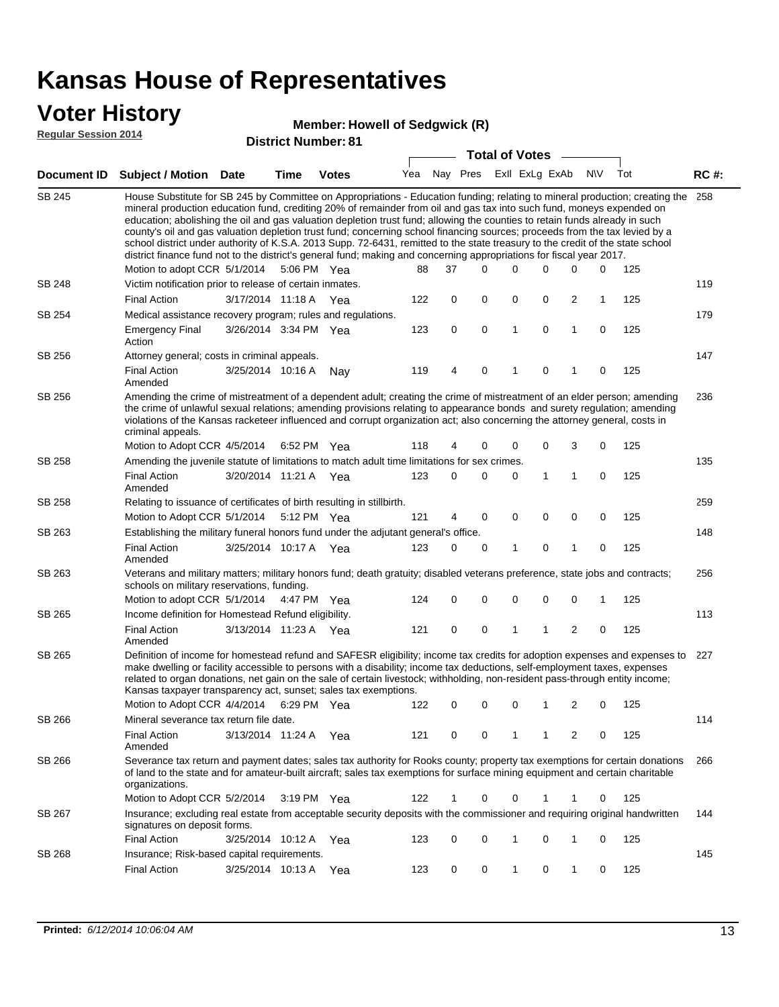#### **Voter History**

#### **Member: Howell of Sedgwick (R)**

**Regular Session 2014**

|               |                                                                                                                                                                                                                                                                                                                                                                                                                                                                                                                                                                                                                                                                                                                                                                               |                       |      |              |     |          |          |          | <b>Total of Votes</b> |                |              |             |     |             |
|---------------|-------------------------------------------------------------------------------------------------------------------------------------------------------------------------------------------------------------------------------------------------------------------------------------------------------------------------------------------------------------------------------------------------------------------------------------------------------------------------------------------------------------------------------------------------------------------------------------------------------------------------------------------------------------------------------------------------------------------------------------------------------------------------------|-----------------------|------|--------------|-----|----------|----------|----------|-----------------------|----------------|--------------|-------------|-----|-------------|
| Document ID   | <b>Subject / Motion Date</b>                                                                                                                                                                                                                                                                                                                                                                                                                                                                                                                                                                                                                                                                                                                                                  |                       | Time | <b>Votes</b> | Yea | Nay Pres |          |          |                       | Exll ExLg ExAb |              | <b>NV</b>   | Tot | <b>RC#:</b> |
| SB 245        | House Substitute for SB 245 by Committee on Appropriations - Education funding; relating to mineral production; creating the<br>mineral production education fund, crediting 20% of remainder from oil and gas tax into such fund, moneys expended on<br>education; abolishing the oil and gas valuation depletion trust fund; allowing the counties to retain funds already in such<br>county's oil and gas valuation depletion trust fund; concerning school financing sources; proceeds from the tax levied by a<br>school district under authority of K.S.A. 2013 Supp. 72-6431, remitted to the state treasury to the credit of the state school<br>district finance fund not to the district's general fund; making and concerning appropriations for fiscal year 2017. |                       |      |              |     |          |          | $\Omega$ | $\Omega$              | 0              |              |             |     | 258         |
| <b>SB 248</b> | Motion to adopt CCR 5/1/2014                                                                                                                                                                                                                                                                                                                                                                                                                                                                                                                                                                                                                                                                                                                                                  |                       |      | 5:06 PM Yea  | 88  | 37       |          |          |                       |                | $\Omega$     | 0           | 125 | 119         |
|               | Victim notification prior to release of certain inmates.<br><b>Final Action</b>                                                                                                                                                                                                                                                                                                                                                                                                                                                                                                                                                                                                                                                                                               | 3/17/2014 11:18 A     |      | Yea          | 122 | 0        | 0        |          | 0                     | $\mathbf 0$    | 2            | 1           | 125 |             |
| SB 254        | Medical assistance recovery program; rules and regulations.                                                                                                                                                                                                                                                                                                                                                                                                                                                                                                                                                                                                                                                                                                                   |                       |      |              |     |          |          |          |                       |                |              |             |     | 179         |
|               | Emergency Final<br>Action                                                                                                                                                                                                                                                                                                                                                                                                                                                                                                                                                                                                                                                                                                                                                     | 3/26/2014 3:34 PM Yea |      |              | 123 | 0        |          | 0        | 1                     | $\mathbf 0$    | 1            | 0           | 125 |             |
| SB 256        | Attorney general; costs in criminal appeals.                                                                                                                                                                                                                                                                                                                                                                                                                                                                                                                                                                                                                                                                                                                                  |                       |      |              |     |          |          |          |                       |                |              |             |     | 147         |
|               | <b>Final Action</b><br>Amended                                                                                                                                                                                                                                                                                                                                                                                                                                                                                                                                                                                                                                                                                                                                                | 3/25/2014 10:16 A     |      | Nay          | 119 | 4        | $\Omega$ |          | 1                     | $\mathbf 0$    |              | $\mathbf 0$ | 125 |             |
| SB 256        | Amending the crime of mistreatment of a dependent adult; creating the crime of mistreatment of an elder person; amending<br>the crime of unlawful sexual relations; amending provisions relating to appearance bonds and surety regulation; amending<br>violations of the Kansas racketeer influenced and corrupt organization act; also concerning the attorney general, costs in<br>criminal appeals.                                                                                                                                                                                                                                                                                                                                                                       |                       |      |              |     |          |          |          |                       |                |              |             |     | 236         |
|               | Motion to Adopt CCR 4/5/2014                                                                                                                                                                                                                                                                                                                                                                                                                                                                                                                                                                                                                                                                                                                                                  |                       |      | 6:52 PM Yea  | 118 | 4        | $\Omega$ |          | 0                     | 0              | 3            | 0           | 125 |             |
| SB 258        | Amending the juvenile statute of limitations to match adult time limitations for sex crimes.                                                                                                                                                                                                                                                                                                                                                                                                                                                                                                                                                                                                                                                                                  |                       |      |              |     |          |          |          |                       |                |              |             |     | 135         |
|               | <b>Final Action</b><br>Amended                                                                                                                                                                                                                                                                                                                                                                                                                                                                                                                                                                                                                                                                                                                                                | 3/20/2014 11:21 A Yea |      |              | 123 | 0        |          | $\Omega$ | 0                     | 1              | $\mathbf{1}$ | 0           | 125 |             |
| <b>SB 258</b> | Relating to issuance of certificates of birth resulting in stillbirth.                                                                                                                                                                                                                                                                                                                                                                                                                                                                                                                                                                                                                                                                                                        |                       |      |              |     |          |          |          |                       |                |              |             |     | 259         |
|               | Motion to Adopt CCR 5/1/2014                                                                                                                                                                                                                                                                                                                                                                                                                                                                                                                                                                                                                                                                                                                                                  |                       |      | 5:12 PM Yea  | 121 | 4        |          | 0        | 0                     | $\mathbf 0$    | 0            | 0           | 125 |             |
| SB 263        | Establishing the military funeral honors fund under the adjutant general's office.<br><b>Final Action</b>                                                                                                                                                                                                                                                                                                                                                                                                                                                                                                                                                                                                                                                                     | 3/25/2014 10:17 A Yea |      |              | 123 | 0        |          | 0        | 1                     | $\mathbf 0$    | 1            | 0           | 125 | 148         |
|               | Amended                                                                                                                                                                                                                                                                                                                                                                                                                                                                                                                                                                                                                                                                                                                                                                       |                       |      |              |     |          |          |          |                       |                |              |             |     |             |
| SB 263        | Veterans and military matters; military honors fund; death gratuity; disabled veterans preference, state jobs and contracts;<br>schools on military reservations, funding.<br>Motion to adopt CCR 5/1/2014 4:47 PM Yea                                                                                                                                                                                                                                                                                                                                                                                                                                                                                                                                                        |                       |      |              | 124 | 0        | 0        |          | 0                     | $\mathbf 0$    | 0            | 1           | 125 | 256         |
| SB 265        | Income definition for Homestead Refund eligibility.                                                                                                                                                                                                                                                                                                                                                                                                                                                                                                                                                                                                                                                                                                                           |                       |      |              |     |          |          |          |                       |                |              |             |     | 113         |
|               | <b>Final Action</b>                                                                                                                                                                                                                                                                                                                                                                                                                                                                                                                                                                                                                                                                                                                                                           | 3/13/2014 11:23 A Yea |      |              | 121 | 0        | 0        |          | 1                     | 1              | 2            | $\mathbf 0$ | 125 |             |
|               | Amended                                                                                                                                                                                                                                                                                                                                                                                                                                                                                                                                                                                                                                                                                                                                                                       |                       |      |              |     |          |          |          |                       |                |              |             |     |             |
| SB 265        | Definition of income for homestead refund and SAFESR eligibility; income tax credits for adoption expenses and expenses to<br>make dwelling or facility accessible to persons with a disability; income tax deductions, self-employment taxes, expenses<br>related to organ donations, net gain on the sale of certain livestock; withholding, non-resident pass-through entity income;<br>Kansas taxpayer transparency act, sunset; sales tax exemptions.                                                                                                                                                                                                                                                                                                                    |                       |      |              |     |          |          |          |                       |                |              |             |     | 227         |
|               | Motion to Adopt CCR 4/4/2014 6:29 PM Yea                                                                                                                                                                                                                                                                                                                                                                                                                                                                                                                                                                                                                                                                                                                                      |                       |      |              | 122 | 0        | 0        |          | 0                     |                | 2            | 0           | 125 |             |
| SB 266        | Mineral severance tax return file date.                                                                                                                                                                                                                                                                                                                                                                                                                                                                                                                                                                                                                                                                                                                                       |                       |      |              |     |          |          |          |                       |                |              |             |     | 114         |
|               | <b>Final Action</b><br>Amended                                                                                                                                                                                                                                                                                                                                                                                                                                                                                                                                                                                                                                                                                                                                                | 3/13/2014 11:24 A     |      | Yea          | 121 | 0        |          | 0        | 1                     | 1              | 2            | 0           | 125 |             |
| SB 266        | Severance tax return and payment dates; sales tax authority for Rooks county; property tax exemptions for certain donations<br>of land to the state and for amateur-built aircraft; sales tax exemptions for surface mining equipment and certain charitable<br>organizations.                                                                                                                                                                                                                                                                                                                                                                                                                                                                                                |                       |      |              |     |          |          |          |                       |                |              |             |     | 266         |
|               | Motion to Adopt CCR 5/2/2014                                                                                                                                                                                                                                                                                                                                                                                                                                                                                                                                                                                                                                                                                                                                                  |                       |      | 3:19 PM Yea  | 122 | 1        |          | 0        | 0                     | 1              | 1            | 0           | 125 |             |
| SB 267        | Insurance; excluding real estate from acceptable security deposits with the commissioner and requiring original handwritten<br>signatures on deposit forms.                                                                                                                                                                                                                                                                                                                                                                                                                                                                                                                                                                                                                   |                       |      |              |     |          |          |          |                       |                |              |             |     | 144         |
|               | <b>Final Action</b>                                                                                                                                                                                                                                                                                                                                                                                                                                                                                                                                                                                                                                                                                                                                                           | 3/25/2014 10:12 A Yea |      |              | 123 | 0        | 0        |          | 1                     | 0              | 1            | 0           | 125 |             |
| SB 268        | Insurance; Risk-based capital requirements.                                                                                                                                                                                                                                                                                                                                                                                                                                                                                                                                                                                                                                                                                                                                   |                       |      |              |     |          |          |          |                       |                |              |             |     | 145         |
|               | <b>Final Action</b>                                                                                                                                                                                                                                                                                                                                                                                                                                                                                                                                                                                                                                                                                                                                                           | 3/25/2014 10:13 A     |      | Yea          | 123 | 0        |          | 0        | 1                     | 0              | 1            | 0           | 125 |             |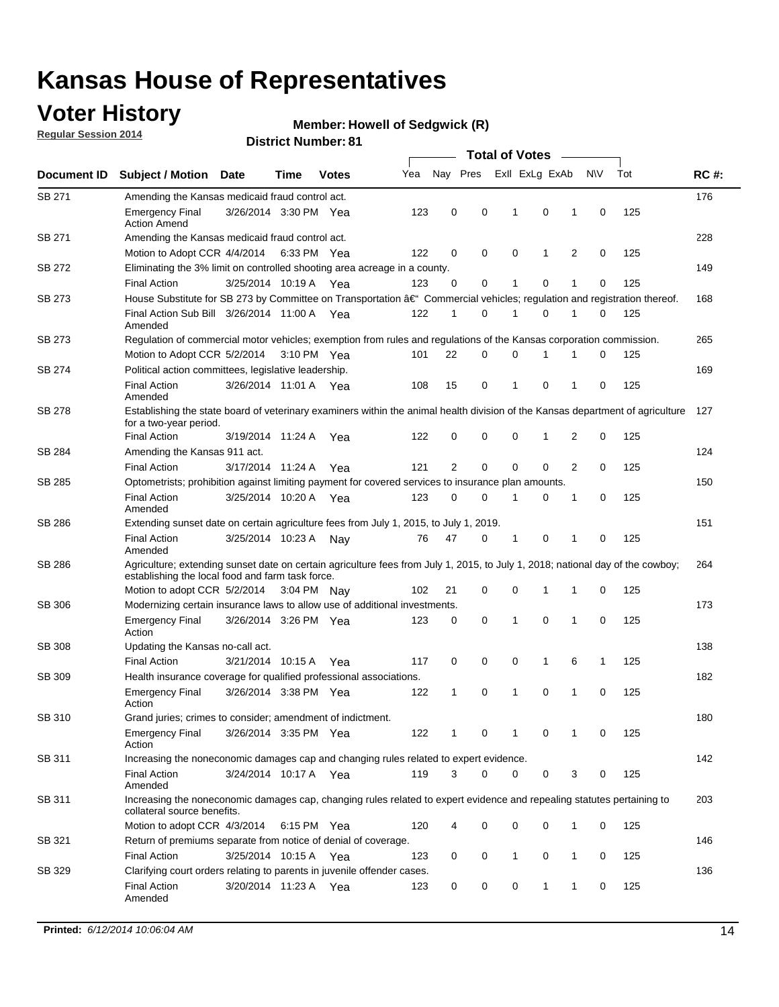### **Voter History**

**Regular Session 2014**

#### **Member: Howell of Sedgwick (R)**

|               |                                                                                                                                                                                    | <b>Total of Votes</b> |      |              |     |              |             |              |  |                |   |             |     |             |
|---------------|------------------------------------------------------------------------------------------------------------------------------------------------------------------------------------|-----------------------|------|--------------|-----|--------------|-------------|--------------|--|----------------|---|-------------|-----|-------------|
| Document ID   | <b>Subject / Motion Date</b>                                                                                                                                                       |                       | Time | <b>Votes</b> | Yea |              | Nay Pres    |              |  | Exll ExLg ExAb |   | N\V         | Tot | <b>RC#:</b> |
| SB 271        | Amending the Kansas medicaid fraud control act.                                                                                                                                    |                       |      |              |     |              |             |              |  |                |   |             |     | 176         |
|               | <b>Emergency Final</b><br><b>Action Amend</b>                                                                                                                                      | 3/26/2014 3:30 PM Yea |      |              | 123 | 0            | 0           | -1           |  | 0              | 1 | 0           | 125 |             |
| SB 271        | Amending the Kansas medicaid fraud control act.                                                                                                                                    |                       |      |              |     |              |             |              |  |                |   |             |     | 228         |
|               | Motion to Adopt CCR 4/4/2014 6:33 PM Yea                                                                                                                                           |                       |      |              | 122 | 0            | 0           | 0            |  | 1              | 2 | 0           | 125 |             |
| SB 272        | Eliminating the 3% limit on controlled shooting area acreage in a county.                                                                                                          |                       |      |              |     |              |             |              |  |                |   |             |     | 149         |
|               | <b>Final Action</b>                                                                                                                                                                | 3/25/2014 10:19 A Yea |      |              | 123 | 0            | 0           | 1            |  | 0              | 1 | 0           | 125 |             |
| SB 273        | House Substitute for SB 273 by Committee on Transportation †Commercial vehicles; regulation and registration thereof.                                                              |                       |      |              |     |              |             |              |  |                |   |             |     | 168         |
|               | Final Action Sub Bill 3/26/2014 11:00 A Yea<br>Amended                                                                                                                             |                       |      |              | 122 | 1            | 0           | 1            |  | 0              | 1 | 0           | 125 |             |
| SB 273        | Regulation of commercial motor vehicles; exemption from rules and regulations of the Kansas corporation commission.                                                                |                       |      |              |     |              |             |              |  |                |   |             |     | 265         |
|               | Motion to Adopt CCR 5/2/2014 3:10 PM Yea                                                                                                                                           |                       |      |              | 101 | 22           | 0           | 0            |  | 1              | 1 | 0           | 125 |             |
| SB 274        | Political action committees, legislative leadership.                                                                                                                               |                       |      |              |     |              |             |              |  |                |   |             |     | 169         |
|               | <b>Final Action</b><br>Amended                                                                                                                                                     | 3/26/2014 11:01 A Yea |      |              | 108 | 15           | 0           | $\mathbf{1}$ |  | $\mathbf 0$    | 1 | 0           | 125 |             |
| <b>SB 278</b> | Establishing the state board of veterinary examiners within the animal health division of the Kansas department of agriculture<br>for a two-year period.                           |                       |      |              |     |              |             |              |  |                |   |             |     | 127         |
|               | <b>Final Action</b>                                                                                                                                                                | 3/19/2014 11:24 A     |      | Yea          | 122 | 0            | 0           | 0            |  | 1              | 2 | 0           | 125 |             |
| SB 284        | Amending the Kansas 911 act.                                                                                                                                                       |                       |      |              |     |              |             |              |  |                |   |             |     | 124         |
|               | <b>Final Action</b>                                                                                                                                                                | 3/17/2014 11:24 A     |      | Yea          | 121 | 2            | $\mathbf 0$ | $\mathbf 0$  |  | $\mathbf 0$    | 2 | 0           | 125 |             |
| SB 285        | Optometrists; prohibition against limiting payment for covered services to insurance plan amounts.                                                                                 |                       |      |              |     |              |             |              |  |                |   |             |     | 150         |
|               | <b>Final Action</b><br>Amended                                                                                                                                                     | 3/25/2014 10:20 A Yea |      |              | 123 | 0            | 0           | $\mathbf{1}$ |  | 0              | 1 | $\mathbf 0$ | 125 |             |
| SB 286        | Extending sunset date on certain agriculture fees from July 1, 2015, to July 1, 2019.                                                                                              |                       |      |              |     |              |             |              |  |                |   |             |     | 151         |
|               | <b>Final Action</b><br>Amended                                                                                                                                                     | 3/25/2014 10:23 A     |      | Nay          | 76  | 47           | 0           | -1           |  | 0              | 1 | 0           | 125 |             |
| SB 286        | Agriculture; extending sunset date on certain agriculture fees from July 1, 2015, to July 1, 2018; national day of the cowboy;<br>establishing the local food and farm task force. |                       |      |              |     |              |             |              |  |                |   |             |     | 264         |
|               | Motion to adopt CCR 5/2/2014 3:04 PM Nav                                                                                                                                           |                       |      |              | 102 | 21           | 0           | 0            |  | 1              | 1 | 0           | 125 |             |
| <b>SB 306</b> | Modernizing certain insurance laws to allow use of additional investments.                                                                                                         |                       |      |              |     |              |             |              |  |                |   |             |     | 173         |
|               | <b>Emergency Final</b><br>Action                                                                                                                                                   | 3/26/2014 3:26 PM Yea |      |              | 123 | 0            | 0           | 1            |  | 0              | 1 | 0           | 125 |             |
| <b>SB 308</b> | Updating the Kansas no-call act.                                                                                                                                                   |                       |      |              |     |              |             |              |  |                |   |             |     | 138         |
|               | <b>Final Action</b>                                                                                                                                                                | 3/21/2014 10:15 A     |      | Yea          | 117 | 0            | 0           | 0            |  | $\mathbf{1}$   | 6 | 1           | 125 |             |
| SB 309        | Health insurance coverage for qualified professional associations.                                                                                                                 |                       |      |              |     |              |             |              |  |                |   |             |     | 182         |
|               | <b>Emergency Final</b><br>Action                                                                                                                                                   | 3/26/2014 3:38 PM Yea |      |              | 122 | $\mathbf{1}$ | 0           | 1            |  | 0              | 1 | $\mathbf 0$ | 125 |             |
| SB 310        | Grand juries; crimes to consider; amendment of indictment.                                                                                                                         |                       |      |              |     |              |             |              |  |                |   |             |     | 180         |
|               | <b>Emergency Final</b><br>Action                                                                                                                                                   | 3/26/2014 3:35 PM Yea |      |              | 122 | 1            | 0           | 1            |  | 0              | 1 | 0           | 125 |             |
| SB 311        | Increasing the noneconomic damages cap and changing rules related to expert evidence.                                                                                              |                       |      |              |     |              |             |              |  |                |   |             |     | 142         |
|               | <b>Final Action</b><br>Amended                                                                                                                                                     | 3/24/2014 10:17 A Yea |      |              | 119 | 3            | $\Omega$    | 0            |  | 0              | 3 | 0           | 125 |             |
| SB 311        | Increasing the noneconomic damages cap, changing rules related to expert evidence and repealing statutes pertaining to<br>collateral source benefits.                              |                       |      |              |     |              |             |              |  |                |   |             |     | 203         |
|               | Motion to adopt CCR 4/3/2014 6:15 PM Yea                                                                                                                                           |                       |      |              | 120 | 4            | 0           | 0            |  | 0              | 1 | 0           | 125 |             |
| SB 321        | Return of premiums separate from notice of denial of coverage.                                                                                                                     |                       |      |              |     |              |             |              |  |                |   |             |     | 146         |
|               | <b>Final Action</b>                                                                                                                                                                | 3/25/2014 10:15 A Yea |      |              | 123 | 0            | 0           | $\mathbf{1}$ |  | 0              | 1 | 0           | 125 |             |
| SB 329        | Clarifying court orders relating to parents in juvenile offender cases.<br><b>Final Action</b><br>Amended                                                                          | 3/20/2014 11:23 A Yea |      |              | 123 | 0            | 0           | 0            |  | 1              | 1 | 0           | 125 | 136         |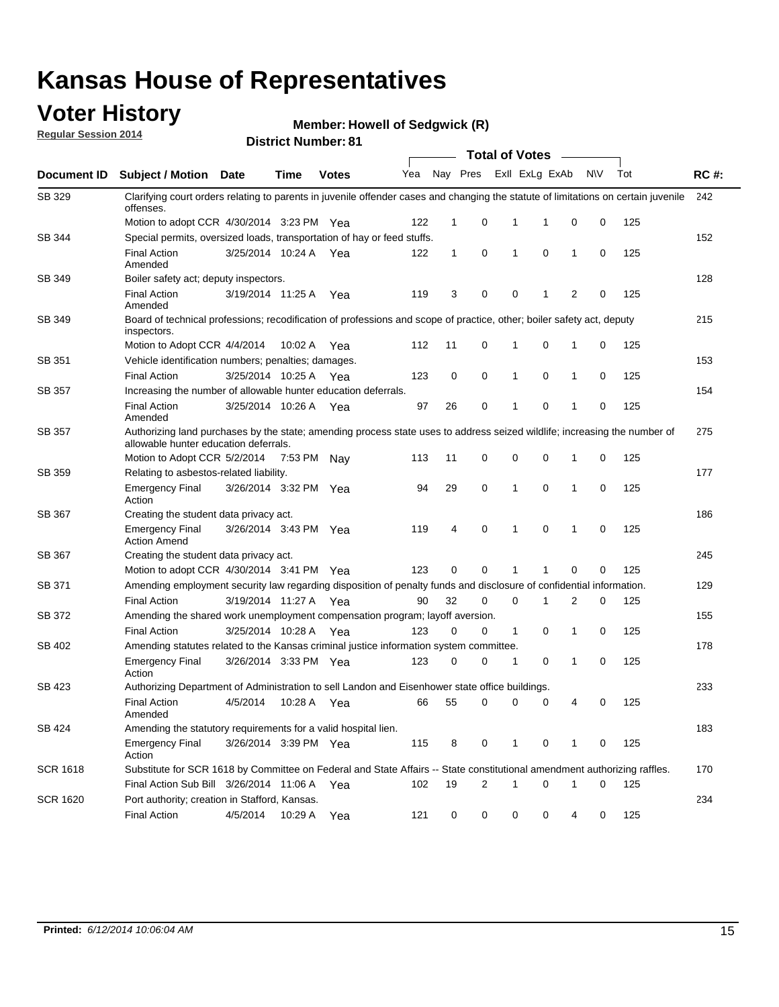# **Voter History**<br> **Regular Session 2014**

**Regular Session 2014**

**Member: Howell of Sedgwick (R)** 

|  | <b>District Number: 81</b> |  |
|--|----------------------------|--|
|--|----------------------------|--|

|                    |                                                                                                                                                                    |                       |             |              |     |              |   |             | <b>Total of Votes</b> |              |           |     |             |
|--------------------|--------------------------------------------------------------------------------------------------------------------------------------------------------------------|-----------------------|-------------|--------------|-----|--------------|---|-------------|-----------------------|--------------|-----------|-----|-------------|
| <b>Document ID</b> | <b>Subject / Motion Date</b>                                                                                                                                       |                       | Time        | <b>Votes</b> | Yea | Nay Pres     |   |             | Exll ExLg ExAb        |              | <b>NV</b> | Tot | <b>RC#:</b> |
| SB 329             | Clarifying court orders relating to parents in juvenile offender cases and changing the statute of limitations on certain juvenile<br>offenses.                    |                       |             |              |     |              |   |             |                       |              |           |     | 242         |
|                    | Motion to adopt CCR 4/30/2014 3:23 PM Yea                                                                                                                          |                       |             |              | 122 | 1            | 0 | 1           | 1                     | 0            | 0         | 125 |             |
| <b>SB 344</b>      | Special permits, oversized loads, transportation of hay or feed stuffs.                                                                                            |                       |             |              |     |              |   |             |                       |              |           |     | 152         |
|                    | <b>Final Action</b><br>Amended                                                                                                                                     | 3/25/2014 10:24 A     |             | Yea          | 122 | $\mathbf{1}$ | 0 | 1           | $\mathbf 0$           | 1            | 0         | 125 |             |
| SB 349             | Boiler safety act; deputy inspectors.                                                                                                                              |                       |             |              |     |              |   |             |                       |              |           |     | 128         |
|                    | <b>Final Action</b><br>Amended                                                                                                                                     | 3/19/2014 11:25 A     |             | Yea          | 119 | 3            | 0 | 0           | 1                     | 2            | 0         | 125 |             |
| SB 349             | Board of technical professions; recodification of professions and scope of practice, other; boiler safety act, deputy<br>inspectors.                               |                       |             |              |     |              |   |             |                       |              |           |     | 215         |
|                    | Motion to Adopt CCR 4/4/2014                                                                                                                                       |                       | 10:02 A     | Yea          | 112 | 11           | 0 | 1           | 0                     | 1            | 0         | 125 |             |
| SB 351             | Vehicle identification numbers; penalties; damages.                                                                                                                |                       |             |              |     |              |   |             |                       |              |           |     | 153         |
|                    | <b>Final Action</b>                                                                                                                                                | 3/25/2014 10:25 A     |             | Yea          | 123 | 0            | 0 | 1           | 0                     | 1            | 0         | 125 |             |
| SB 357             | Increasing the number of allowable hunter education deferrals.                                                                                                     |                       |             |              |     |              |   |             |                       |              |           |     | 154         |
|                    | <b>Final Action</b><br>Amended                                                                                                                                     | 3/25/2014 10:26 A     |             | Yea          | 97  | 26           | 0 | 1           | 0                     | 1            | 0         | 125 |             |
| SB 357             | Authorizing land purchases by the state; amending process state uses to address seized wildlife; increasing the number of<br>allowable hunter education deferrals. |                       |             |              |     |              |   |             |                       |              |           |     | 275         |
|                    | Motion to Adopt CCR 5/2/2014                                                                                                                                       |                       | 7:53 PM Nay |              | 113 | 11           | 0 | 0           | $\mathbf 0$           | 1            | 0         | 125 |             |
| SB 359             | Relating to asbestos-related liability.                                                                                                                            |                       |             |              |     |              |   |             |                       |              |           |     | 177         |
|                    | <b>Emergency Final</b><br>Action                                                                                                                                   | 3/26/2014 3:32 PM Yea |             |              | 94  | 29           | 0 | 1           | $\mathbf 0$           | 1            | 0         | 125 |             |
| <b>SB 367</b>      | Creating the student data privacy act.                                                                                                                             |                       |             |              |     |              |   |             |                       |              |           |     | 186         |
|                    | <b>Emergency Final</b><br><b>Action Amend</b>                                                                                                                      | 3/26/2014 3:43 PM Yea |             |              | 119 | 4            | 0 | 1           | $\mathbf 0$           | $\mathbf{1}$ | 0         | 125 |             |
| SB 367             | Creating the student data privacy act.                                                                                                                             |                       |             |              |     |              |   |             |                       |              |           |     | 245         |
|                    | Motion to adopt CCR 4/30/2014 3:41 PM Yea                                                                                                                          |                       |             |              | 123 | 0            | 0 | 1           |                       | $\mathbf 0$  | 0         | 125 |             |
| SB 371             | Amending employment security law regarding disposition of penalty funds and disclosure of confidential information.                                                |                       |             |              |     |              |   |             |                       |              |           |     | 129         |
|                    | <b>Final Action</b>                                                                                                                                                | 3/19/2014 11:27 A     |             | Yea          | 90  | 32           | 0 | $\mathbf 0$ | 1                     | 2            | 0         | 125 |             |
| <b>SB 372</b>      | Amending the shared work unemployment compensation program; layoff aversion.                                                                                       |                       |             |              |     |              |   |             |                       |              |           |     | 155         |
|                    | <b>Final Action</b>                                                                                                                                                | 3/25/2014 10:28 A     |             | Yea          | 123 | 0            | 0 | 1           | 0                     | 1            | 0         | 125 |             |
| SB 402             | Amending statutes related to the Kansas criminal justice information system committee.                                                                             |                       |             |              |     |              |   |             |                       |              |           |     | 178         |
|                    | <b>Emergency Final</b><br>Action                                                                                                                                   | 3/26/2014 3:33 PM Yea |             |              | 123 | 0            | 0 | 1           | 0                     | 1            | 0         | 125 |             |
| SB 423             | Authorizing Department of Administration to sell Landon and Eisenhower state office buildings.                                                                     |                       |             |              |     |              |   |             |                       |              |           |     | 233         |
|                    | <b>Final Action</b><br>Amended                                                                                                                                     | 4/5/2014              | 10:28 A     | Yea          | 66  | 55           | 0 | 0           | 0                     | 4            | 0         | 125 |             |
| SB 424             | Amending the statutory requirements for a valid hospital lien.                                                                                                     |                       |             |              |     |              |   |             |                       |              |           |     | 183         |
|                    | <b>Emergency Final</b><br>Action                                                                                                                                   | 3/26/2014 3:39 PM Yea |             |              | 115 | 8            | 0 | 1           | 0                     | 1            | 0         | 125 |             |
| SCR 1618           | Substitute for SCR 1618 by Committee on Federal and State Affairs -- State constitutional amendment authorizing raffles.                                           |                       |             |              |     |              |   |             |                       |              |           |     | 170         |
|                    | Final Action Sub Bill 3/26/2014 11:06 A Yea                                                                                                                        |                       |             |              | 102 | 19           | 2 | 1           | $\mathbf 0$           | 1            | 0         | 125 |             |
| SCR 1620           | Port authority; creation in Stafford, Kansas.                                                                                                                      |                       |             |              |     |              |   |             |                       |              |           |     | 234         |
|                    | <b>Final Action</b>                                                                                                                                                | 4/5/2014              | 10:29 A     | Yea          | 121 | 0            | 0 | 0           | 0                     | 4            | 0         | 125 |             |